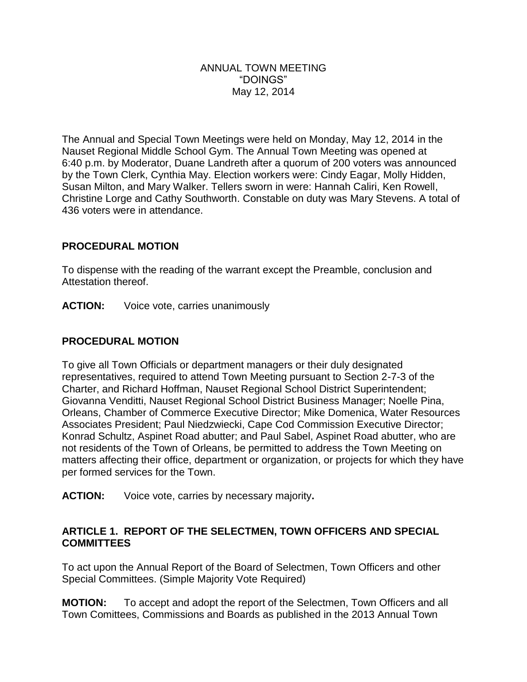#### ANNUAL TOWN MEETING "DOINGS" May 12, 2014

The Annual and Special Town Meetings were held on Monday, May 12, 2014 in the Nauset Regional Middle School Gym. The Annual Town Meeting was opened at 6:40 p.m. by Moderator, Duane Landreth after a quorum of 200 voters was announced by the Town Clerk, Cynthia May. Election workers were: Cindy Eagar, Molly Hidden, Susan Milton, and Mary Walker. Tellers sworn in were: Hannah Caliri, Ken Rowell, Christine Lorge and Cathy Southworth. Constable on duty was Mary Stevens. A total of 436 voters were in attendance.

### **PROCEDURAL MOTION**

To dispense with the reading of the warrant except the Preamble, conclusion and Attestation thereof.

**ACTION:** Voice vote, carries unanimously

### **PROCEDURAL MOTION**

To give all Town Officials or department managers or their duly designated representatives, required to attend Town Meeting pursuant to Section 2-7-3 of the Charter, and Richard Hoffman, Nauset Regional School District Superintendent; Giovanna Venditti, Nauset Regional School District Business Manager; Noelle Pina, Orleans, Chamber of Commerce Executive Director; Mike Domenica, Water Resources Associates President; Paul Niedzwiecki, Cape Cod Commission Executive Director; Konrad Schultz, Aspinet Road abutter; and Paul Sabel, Aspinet Road abutter, who are not residents of the Town of Orleans, be permitted to address the Town Meeting on matters affecting their office, department or organization, or projects for which they have per formed services for the Town.

**ACTION:** Voice vote, carries by necessary majority**.**

### **ARTICLE 1. REPORT OF THE SELECTMEN, TOWN OFFICERS AND SPECIAL COMMITTEES**

To act upon the Annual Report of the Board of Selectmen, Town Officers and other Special Committees. (Simple Majority Vote Required)

**MOTION:** To accept and adopt the report of the Selectmen, Town Officers and all Town Comittees, Commissions and Boards as published in the 2013 Annual Town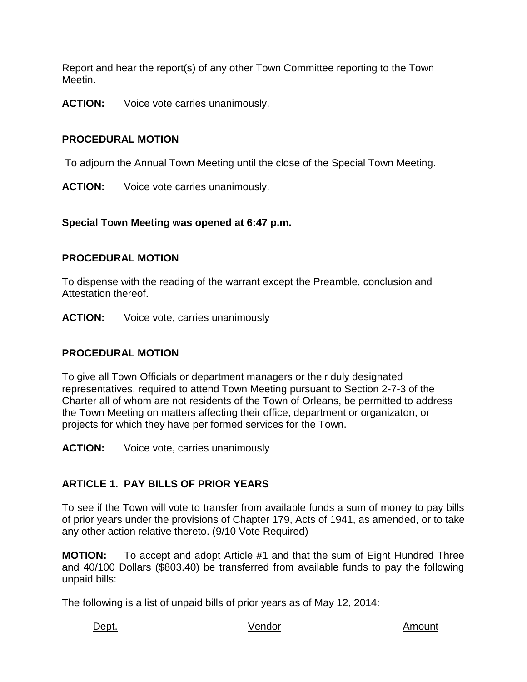Report and hear the report(s) of any other Town Committee reporting to the Town Meetin.

**ACTION:** Voice vote carries unanimously.

# **PROCEDURAL MOTION**

To adjourn the Annual Town Meeting until the close of the Special Town Meeting.

**ACTION:** Voice vote carries unanimously.

**Special Town Meeting was opened at 6:47 p.m.**

### **PROCEDURAL MOTION**

To dispense with the reading of the warrant except the Preamble, conclusion and Attestation thereof.

**ACTION:** Voice vote, carries unanimously

# **PROCEDURAL MOTION**

To give all Town Officials or department managers or their duly designated representatives, required to attend Town Meeting pursuant to Section 2-7-3 of the Charter all of whom are not residents of the Town of Orleans, be permitted to address the Town Meeting on matters affecting their office, department or organizaton, or projects for which they have per formed services for the Town.

**ACTION:** Voice vote, carries unanimously

# **ARTICLE 1. PAY BILLS OF PRIOR YEARS**

To see if the Town will vote to transfer from available funds a sum of money to pay bills of prior years under the provisions of Chapter 179, Acts of 1941, as amended, or to take any other action relative thereto. (9/10 Vote Required)

**MOTION:** To accept and adopt Article #1 and that the sum of Eight Hundred Three and 40/100 Dollars (\$803.40) be transferred from available funds to pay the following unpaid bills:

The following is a list of unpaid bills of prior years as of May 12, 2014:

Dept. Amount Contract Mendor Contract of the Mendor Amount Amount Amount Amount Amount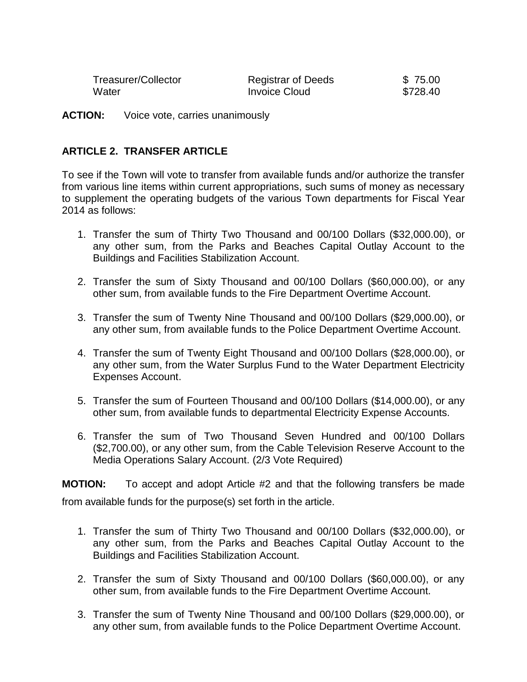| Treasurer/Collector | <b>Registrar of Deeds</b> | \$75.00  |
|---------------------|---------------------------|----------|
| Water               | <b>Invoice Cloud</b>      | \$728.40 |

**ACTION:** Voice vote, carries unanimously

### **ARTICLE 2. TRANSFER ARTICLE**

To see if the Town will vote to transfer from available funds and/or authorize the transfer from various line items within current appropriations, such sums of money as necessary to supplement the operating budgets of the various Town departments for Fiscal Year 2014 as follows:

- 1. Transfer the sum of Thirty Two Thousand and 00/100 Dollars (\$32,000.00), or any other sum, from the Parks and Beaches Capital Outlay Account to the Buildings and Facilities Stabilization Account.
- 2. Transfer the sum of Sixty Thousand and 00/100 Dollars (\$60,000.00), or any other sum, from available funds to the Fire Department Overtime Account.
- 3. Transfer the sum of Twenty Nine Thousand and 00/100 Dollars (\$29,000.00), or any other sum, from available funds to the Police Department Overtime Account.
- 4. Transfer the sum of Twenty Eight Thousand and 00/100 Dollars (\$28,000.00), or any other sum, from the Water Surplus Fund to the Water Department Electricity Expenses Account.
- 5. Transfer the sum of Fourteen Thousand and 00/100 Dollars (\$14,000.00), or any other sum, from available funds to departmental Electricity Expense Accounts.
- 6. Transfer the sum of Two Thousand Seven Hundred and 00/100 Dollars (\$2,700.00), or any other sum, from the Cable Television Reserve Account to the Media Operations Salary Account. (2/3 Vote Required)

**MOTION:** To accept and adopt Article #2 and that the following transfers be made from available funds for the purpose(s) set forth in the article.

- 1. Transfer the sum of Thirty Two Thousand and 00/100 Dollars (\$32,000.00), or any other sum, from the Parks and Beaches Capital Outlay Account to the Buildings and Facilities Stabilization Account.
- 2. Transfer the sum of Sixty Thousand and 00/100 Dollars (\$60,000.00), or any other sum, from available funds to the Fire Department Overtime Account.
- 3. Transfer the sum of Twenty Nine Thousand and 00/100 Dollars (\$29,000.00), or any other sum, from available funds to the Police Department Overtime Account.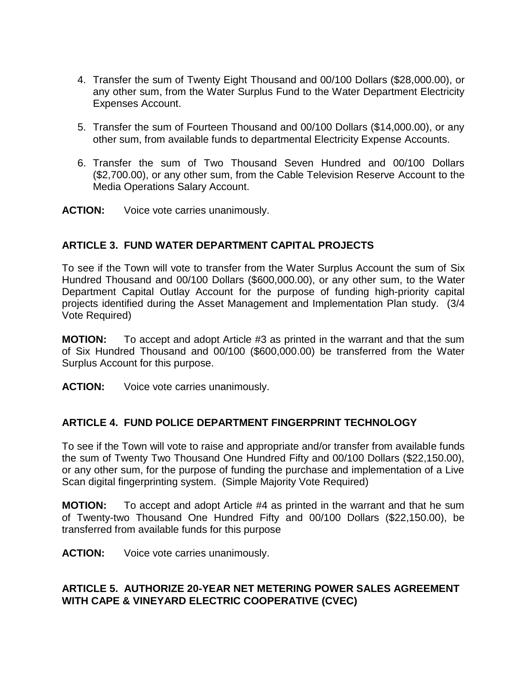- 4. Transfer the sum of Twenty Eight Thousand and 00/100 Dollars (\$28,000.00), or any other sum, from the Water Surplus Fund to the Water Department Electricity Expenses Account.
- 5. Transfer the sum of Fourteen Thousand and 00/100 Dollars (\$14,000.00), or any other sum, from available funds to departmental Electricity Expense Accounts.
- 6. Transfer the sum of Two Thousand Seven Hundred and 00/100 Dollars (\$2,700.00), or any other sum, from the Cable Television Reserve Account to the Media Operations Salary Account.

**ACTION:** Voice vote carries unanimously.

# **ARTICLE 3. FUND WATER DEPARTMENT CAPITAL PROJECTS**

To see if the Town will vote to transfer from the Water Surplus Account the sum of Six Hundred Thousand and 00/100 Dollars (\$600,000.00), or any other sum, to the Water Department Capital Outlay Account for the purpose of funding high-priority capital projects identified during the Asset Management and Implementation Plan study. (3/4 Vote Required)

**MOTION:** To accept and adopt Article #3 as printed in the warrant and that the sum of Six Hundred Thousand and 00/100 (\$600,000.00) be transferred from the Water Surplus Account for this purpose.

**ACTION:** Voice vote carries unanimously.

# **ARTICLE 4. FUND POLICE DEPARTMENT FINGERPRINT TECHNOLOGY**

To see if the Town will vote to raise and appropriate and/or transfer from available funds the sum of Twenty Two Thousand One Hundred Fifty and 00/100 Dollars (\$22,150.00), or any other sum, for the purpose of funding the purchase and implementation of a Live Scan digital fingerprinting system. (Simple Majority Vote Required)

**MOTION:** To accept and adopt Article #4 as printed in the warrant and that he sum of Twenty-two Thousand One Hundred Fifty and 00/100 Dollars (\$22,150.00), be transferred from available funds for this purpose

**ACTION:** Voice vote carries unanimously.

# **ARTICLE 5. AUTHORIZE 20-YEAR NET METERING POWER SALES AGREEMENT WITH CAPE & VINEYARD ELECTRIC COOPERATIVE (CVEC)**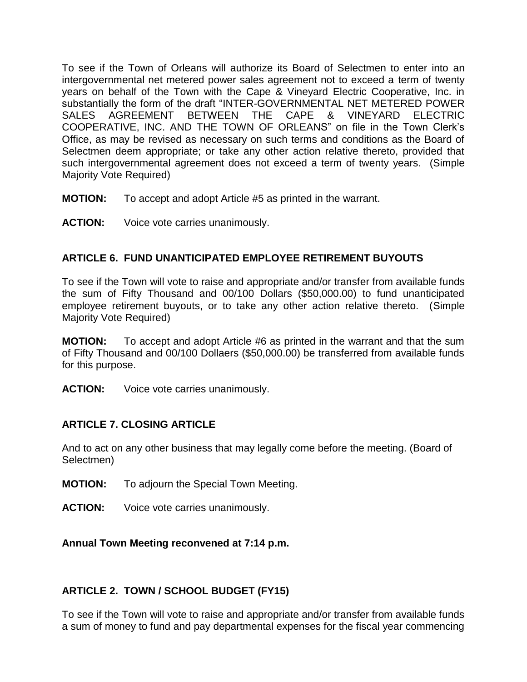To see if the Town of Orleans will authorize its Board of Selectmen to enter into an intergovernmental net metered power sales agreement not to exceed a term of twenty years on behalf of the Town with the Cape & Vineyard Electric Cooperative, Inc. in substantially the form of the draft "INTER-GOVERNMENTAL NET METERED POWER SALES AGREEMENT BETWEEN THE CAPE & VINEYARD ELECTRIC COOPERATIVE, INC. AND THE TOWN OF ORLEANS" on file in the Town Clerk's Office, as may be revised as necessary on such terms and conditions as the Board of Selectmen deem appropriate; or take any other action relative thereto, provided that such intergovernmental agreement does not exceed a term of twenty years. (Simple Majority Vote Required)

- **MOTION:** To accept and adopt Article #5 as printed in the warrant.
- **ACTION:** Voice vote carries unanimously.

# **ARTICLE 6. FUND UNANTICIPATED EMPLOYEE RETIREMENT BUYOUTS**

To see if the Town will vote to raise and appropriate and/or transfer from available funds the sum of Fifty Thousand and 00/100 Dollars (\$50,000.00) to fund unanticipated employee retirement buyouts, or to take any other action relative thereto. (Simple Majority Vote Required)

**MOTION:** To accept and adopt Article #6 as printed in the warrant and that the sum of Fifty Thousand and 00/100 Dollaers (\$50,000.00) be transferred from available funds for this purpose.

**ACTION:** Voice vote carries unanimously.

# **ARTICLE 7. CLOSING ARTICLE**

And to act on any other business that may legally come before the meeting. (Board of Selectmen)

- **MOTION:** To adjourn the Special Town Meeting.
- **ACTION:** Voice vote carries unanimously.

**Annual Town Meeting reconvened at 7:14 p.m.**

# **ARTICLE 2. TOWN / SCHOOL BUDGET (FY15)**

To see if the Town will vote to raise and appropriate and/or transfer from available funds a sum of money to fund and pay departmental expenses for the fiscal year commencing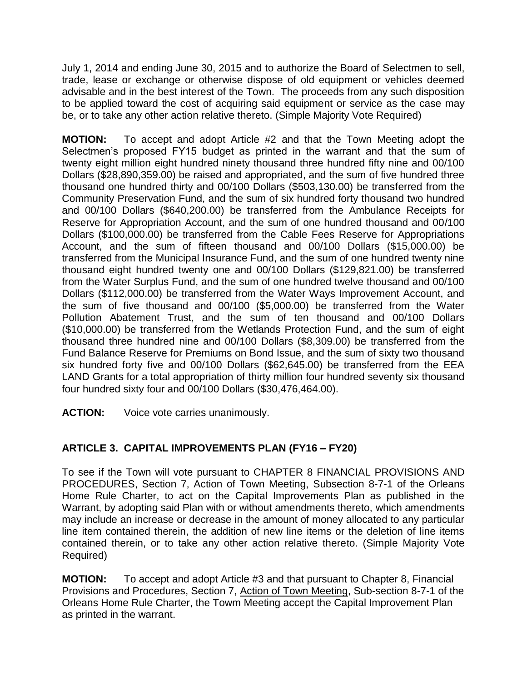July 1, 2014 and ending June 30, 2015 and to authorize the Board of Selectmen to sell, trade, lease or exchange or otherwise dispose of old equipment or vehicles deemed advisable and in the best interest of the Town. The proceeds from any such disposition to be applied toward the cost of acquiring said equipment or service as the case may be, or to take any other action relative thereto. (Simple Majority Vote Required)

**MOTION:** To accept and adopt Article #2 and that the Town Meeting adopt the Selectmen's proposed FY15 budget as printed in the warrant and that the sum of twenty eight million eight hundred ninety thousand three hundred fifty nine and 00/100 Dollars (\$28,890,359.00) be raised and appropriated, and the sum of five hundred three thousand one hundred thirty and 00/100 Dollars (\$503,130.00) be transferred from the Community Preservation Fund, and the sum of six hundred forty thousand two hundred and 00/100 Dollars (\$640,200.00) be transferred from the Ambulance Receipts for Reserve for Appropriation Account, and the sum of one hundred thousand and 00/100 Dollars (\$100,000.00) be transferred from the Cable Fees Reserve for Appropriations Account, and the sum of fifteen thousand and 00/100 Dollars (\$15,000.00) be transferred from the Municipal Insurance Fund, and the sum of one hundred twenty nine thousand eight hundred twenty one and 00/100 Dollars (\$129,821.00) be transferred from the Water Surplus Fund, and the sum of one hundred twelve thousand and 00/100 Dollars (\$112,000.00) be transferred from the Water Ways Improvement Account, and the sum of five thousand and 00/100 (\$5,000.00) be transferred from the Water Pollution Abatement Trust, and the sum of ten thousand and 00/100 Dollars (\$10,000.00) be transferred from the Wetlands Protection Fund, and the sum of eight thousand three hundred nine and 00/100 Dollars (\$8,309.00) be transferred from the Fund Balance Reserve for Premiums on Bond Issue, and the sum of sixty two thousand six hundred forty five and 00/100 Dollars (\$62,645.00) be transferred from the EEA LAND Grants for a total appropriation of thirty million four hundred seventy six thousand four hundred sixty four and 00/100 Dollars (\$30,476,464.00).

**ACTION:** Voice vote carries unanimously.

# **ARTICLE 3. CAPITAL IMPROVEMENTS PLAN (FY16 – FY20)**

To see if the Town will vote pursuant to CHAPTER 8 FINANCIAL PROVISIONS AND PROCEDURES, Section 7, Action of Town Meeting, Subsection 8-7-1 of the Orleans Home Rule Charter, to act on the Capital Improvements Plan as published in the Warrant, by adopting said Plan with or without amendments thereto, which amendments may include an increase or decrease in the amount of money allocated to any particular line item contained therein, the addition of new line items or the deletion of line items contained therein, or to take any other action relative thereto. (Simple Majority Vote Required)

**MOTION:** To accept and adopt Article #3 and that pursuant to Chapter 8, Financial Provisions and Procedures, Section 7, Action of Town Meeting, Sub-section 8-7-1 of the Orleans Home Rule Charter, the Towm Meeting accept the Capital Improvement Plan as printed in the warrant.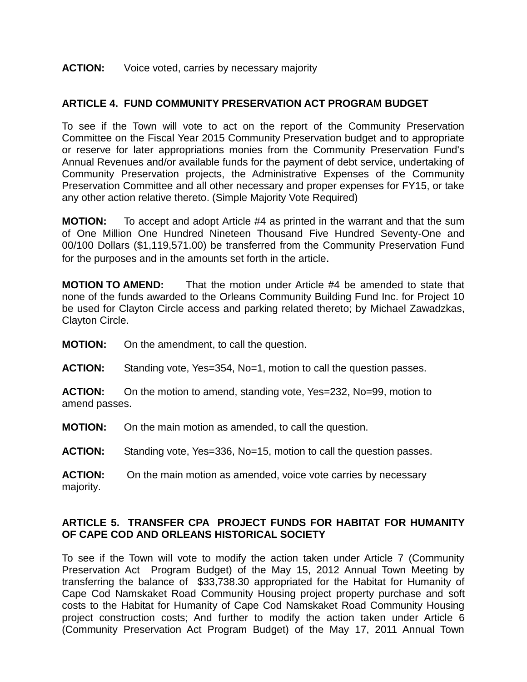#### **ACTION:** Voice voted, carries by necessary majority

### **ARTICLE 4. FUND COMMUNITY PRESERVATION ACT PROGRAM BUDGET**

To see if the Town will vote to act on the report of the Community Preservation Committee on the Fiscal Year 2015 Community Preservation budget and to appropriate or reserve for later appropriations monies from the Community Preservation Fund's Annual Revenues and/or available funds for the payment of debt service, undertaking of Community Preservation projects, the Administrative Expenses of the Community Preservation Committee and all other necessary and proper expenses for FY15, or take any other action relative thereto. (Simple Majority Vote Required)

**MOTION:** To accept and adopt Article #4 as printed in the warrant and that the sum of One Million One Hundred Nineteen Thousand Five Hundred Seventy-One and 00/100 Dollars (\$1,119,571.00) be transferred from the Community Preservation Fund for the purposes and in the amounts set forth in the article.

**MOTION TO AMEND:** That the motion under Article #4 be amended to state that none of the funds awarded to the Orleans Community Building Fund Inc. for Project 10 be used for Clayton Circle access and parking related thereto; by Michael Zawadzkas, Clayton Circle.

**MOTION:** On the amendment, to call the question.

**ACTION:** Standing vote, Yes=354, No=1, motion to call the question passes.

**ACTION:** On the motion to amend, standing vote, Yes=232, No=99, motion to amend passes.

**MOTION:** On the main motion as amended, to call the question.

**ACTION:** Standing vote, Yes=336, No=15, motion to call the question passes.

**ACTION:** On the main motion as amended, voice vote carries by necessary majority.

#### **ARTICLE 5. TRANSFER CPA PROJECT FUNDS FOR HABITAT FOR HUMANITY OF CAPE COD AND ORLEANS HISTORICAL SOCIETY**

To see if the Town will vote to modify the action taken under Article 7 (Community Preservation Act Program Budget) of the May 15, 2012 Annual Town Meeting by transferring the balance of \$33,738.30 appropriated for the Habitat for Humanity of Cape Cod Namskaket Road Community Housing project property purchase and soft costs to the Habitat for Humanity of Cape Cod Namskaket Road Community Housing project construction costs; And further to modify the action taken under Article 6 (Community Preservation Act Program Budget) of the May 17, 2011 Annual Town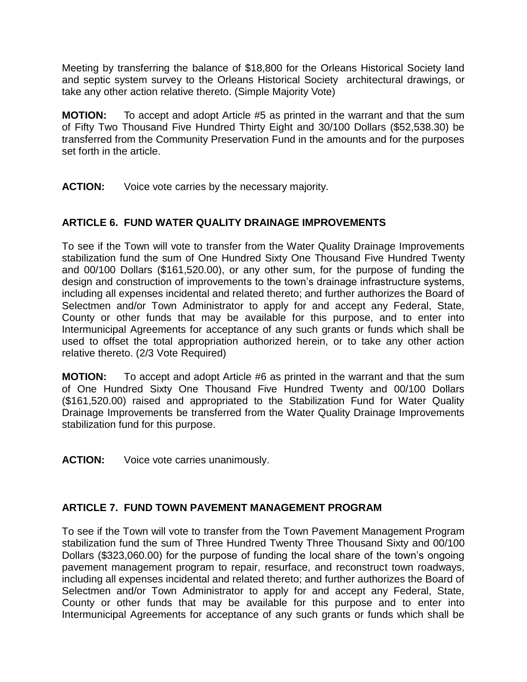Meeting by transferring the balance of \$18,800 for the Orleans Historical Society land and septic system survey to the Orleans Historical Society architectural drawings, or take any other action relative thereto. (Simple Majority Vote)

**MOTION:** To accept and adopt Article #5 as printed in the warrant and that the sum of Fifty Two Thousand Five Hundred Thirty Eight and 30/100 Dollars (\$52,538.30) be transferred from the Community Preservation Fund in the amounts and for the purposes set forth in the article.

**ACTION:** Voice vote carries by the necessary majority.

# **ARTICLE 6. FUND WATER QUALITY DRAINAGE IMPROVEMENTS**

To see if the Town will vote to transfer from the Water Quality Drainage Improvements stabilization fund the sum of One Hundred Sixty One Thousand Five Hundred Twenty and 00/100 Dollars (\$161,520.00), or any other sum, for the purpose of funding the design and construction of improvements to the town's drainage infrastructure systems, including all expenses incidental and related thereto; and further authorizes the Board of Selectmen and/or Town Administrator to apply for and accept any Federal, State, County or other funds that may be available for this purpose, and to enter into Intermunicipal Agreements for acceptance of any such grants or funds which shall be used to offset the total appropriation authorized herein, or to take any other action relative thereto. (2/3 Vote Required)

**MOTION:** To accept and adopt Article #6 as printed in the warrant and that the sum of One Hundred Sixty One Thousand Five Hundred Twenty and 00/100 Dollars (\$161,520.00) raised and appropriated to the Stabilization Fund for Water Quality Drainage Improvements be transferred from the Water Quality Drainage Improvements stabilization fund for this purpose.

**ACTION:** Voice vote carries unanimously.

# **ARTICLE 7. FUND TOWN PAVEMENT MANAGEMENT PROGRAM**

To see if the Town will vote to transfer from the Town Pavement Management Program stabilization fund the sum of Three Hundred Twenty Three Thousand Sixty and 00/100 Dollars (\$323,060.00) for the purpose of funding the local share of the town's ongoing pavement management program to repair, resurface, and reconstruct town roadways, including all expenses incidental and related thereto; and further authorizes the Board of Selectmen and/or Town Administrator to apply for and accept any Federal, State, County or other funds that may be available for this purpose and to enter into Intermunicipal Agreements for acceptance of any such grants or funds which shall be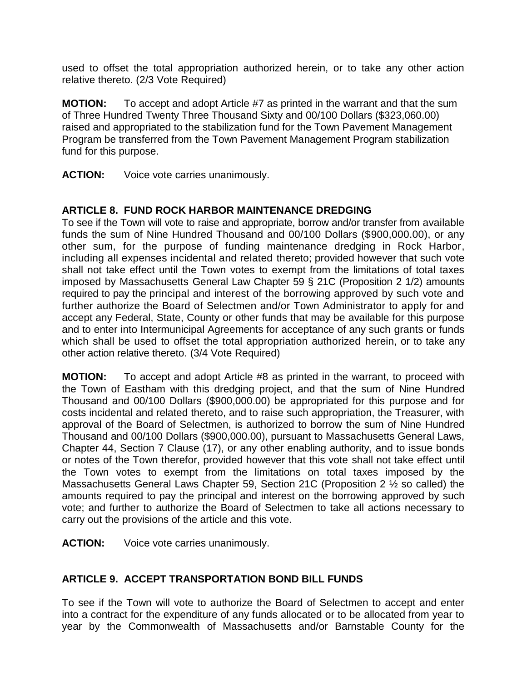used to offset the total appropriation authorized herein, or to take any other action relative thereto. (2/3 Vote Required)

**MOTION:** To accept and adopt Article #7 as printed in the warrant and that the sum of Three Hundred Twenty Three Thousand Sixty and 00/100 Dollars (\$323,060.00) raised and appropriated to the stabilization fund for the Town Pavement Management Program be transferred from the Town Pavement Management Program stabilization fund for this purpose.

**ACTION:** Voice vote carries unanimously.

# **ARTICLE 8. FUND ROCK HARBOR MAINTENANCE DREDGING**

To see if the Town will vote to raise and appropriate, borrow and/or transfer from available funds the sum of Nine Hundred Thousand and 00/100 Dollars (\$900,000.00), or any other sum, for the purpose of funding maintenance dredging in Rock Harbor, including all expenses incidental and related thereto; provided however that such vote shall not take effect until the Town votes to exempt from the limitations of total taxes imposed by Massachusetts General Law Chapter 59 § 21C (Proposition 2 1/2) amounts required to pay the principal and interest of the borrowing approved by such vote and further authorize the Board of Selectmen and/or Town Administrator to apply for and accept any Federal, State, County or other funds that may be available for this purpose and to enter into Intermunicipal Agreements for acceptance of any such grants or funds which shall be used to offset the total appropriation authorized herein, or to take any other action relative thereto. (3/4 Vote Required)

**MOTION:** To accept and adopt Article #8 as printed in the warrant, to proceed with the Town of Eastham with this dredging project, and that the sum of Nine Hundred Thousand and 00/100 Dollars (\$900,000.00) be appropriated for this purpose and for costs incidental and related thereto, and to raise such appropriation, the Treasurer, with approval of the Board of Selectmen, is authorized to borrow the sum of Nine Hundred Thousand and 00/100 Dollars (\$900,000.00), pursuant to Massachusetts General Laws, Chapter 44, Section 7 Clause (17), or any other enabling authority, and to issue bonds or notes of the Town therefor, provided however that this vote shall not take effect until the Town votes to exempt from the limitations on total taxes imposed by the Massachusetts General Laws Chapter 59, Section 21C (Proposition 2 ½ so called) the amounts required to pay the principal and interest on the borrowing approved by such vote; and further to authorize the Board of Selectmen to take all actions necessary to carry out the provisions of the article and this vote.

**ACTION:** Voice vote carries unanimously.

# **ARTICLE 9. ACCEPT TRANSPORTATION BOND BILL FUNDS**

To see if the Town will vote to authorize the Board of Selectmen to accept and enter into a contract for the expenditure of any funds allocated or to be allocated from year to year by the Commonwealth of Massachusetts and/or Barnstable County for the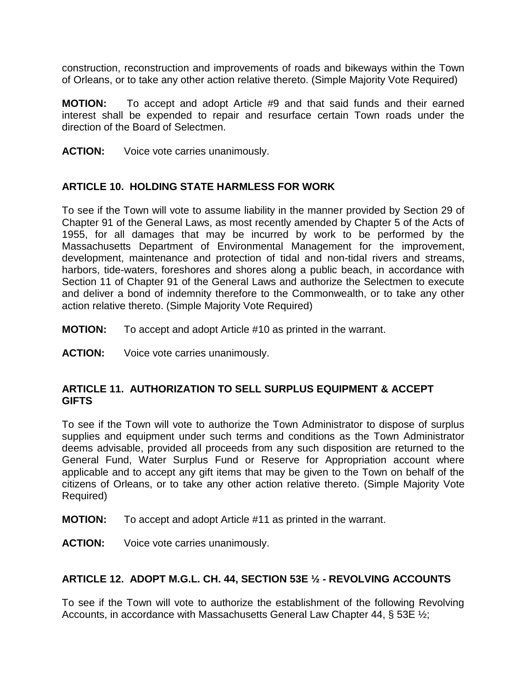construction, reconstruction and improvements of roads and bikeways within the Town of Orleans, or to take any other action relative thereto. (Simple Majority Vote Required)

**MOTION:** To accept and adopt Article #9 and that said funds and their earned interest shall be expended to repair and resurface certain Town roads under the direction of the Board of Selectmen.

**ACTION:** Voice vote carries unanimously.

### **ARTICLE 10. HOLDING STATE HARMLESS FOR WORK**

To see if the Town will vote to assume liability in the manner provided by Section 29 of Chapter 91 of the General Laws, as most recently amended by Chapter 5 of the Acts of 1955, for all damages that may be incurred by work to be performed by the Massachusetts Department of Environmental Management for the improvement, development, maintenance and protection of tidal and non-tidal rivers and streams, harbors, tide-waters, foreshores and shores along a public beach, in accordance with Section 11 of Chapter 91 of the General Laws and authorize the Selectmen to execute and deliver a bond of indemnity therefore to the Commonwealth, or to take any other action relative thereto. (Simple Majority Vote Required)

- **MOTION:** To accept and adopt Article #10 as printed in the warrant.
- **ACTION:** Voice vote carries unanimously.

#### **ARTICLE 11. AUTHORIZATION TO SELL SURPLUS EQUIPMENT & ACCEPT GIFTS**

To see if the Town will vote to authorize the Town Administrator to dispose of surplus supplies and equipment under such terms and conditions as the Town Administrator deems advisable, provided all proceeds from any such disposition are returned to the General Fund, Water Surplus Fund or Reserve for Appropriation account where applicable and to accept any gift items that may be given to the Town on behalf of the citizens of Orleans, or to take any other action relative thereto. (Simple Majority Vote Required)

- **MOTION:** To accept and adopt Article #11 as printed in the warrant.
- **ACTION:** Voice vote carries unanimously.

#### **ARTICLE 12. ADOPT M.G.L. CH. 44, SECTION 53E ½ - REVOLVING ACCOUNTS**

To see if the Town will vote to authorize the establishment of the following Revolving Accounts, in accordance with Massachusetts General Law Chapter 44, § 53E ½;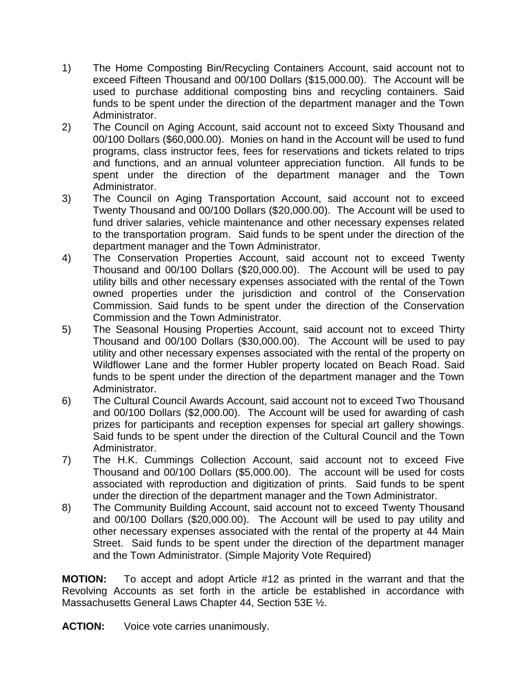- 1) The Home Composting Bin/Recycling Containers Account, said account not to exceed Fifteen Thousand and 00/100 Dollars (\$15,000.00). The Account will be used to purchase additional composting bins and recycling containers. Said funds to be spent under the direction of the department manager and the Town Administrator.
- 2) The Council on Aging Account, said account not to exceed Sixty Thousand and 00/100 Dollars (\$60,000.00). Monies on hand in the Account will be used to fund programs, class instructor fees, fees for reservations and tickets related to trips and functions, and an annual volunteer appreciation function. All funds to be spent under the direction of the department manager and the Town Administrator.
- 3) The Council on Aging Transportation Account, said account not to exceed Twenty Thousand and 00/100 Dollars (\$20,000.00). The Account will be used to fund driver salaries, vehicle maintenance and other necessary expenses related to the transportation program. Said funds to be spent under the direction of the department manager and the Town Administrator.
- 4) The Conservation Properties Account, said account not to exceed Twenty Thousand and 00/100 Dollars (\$20,000.00). The Account will be used to pay utility bills and other necessary expenses associated with the rental of the Town owned properties under the jurisdiction and control of the Conservation Commission. Said funds to be spent under the direction of the Conservation Commission and the Town Administrator.
- 5) The Seasonal Housing Properties Account, said account not to exceed Thirty Thousand and 00/100 Dollars (\$30,000.00). The Account will be used to pay utility and other necessary expenses associated with the rental of the property on Wildflower Lane and the former Hubler property located on Beach Road. Said funds to be spent under the direction of the department manager and the Town Administrator.
- 6) The Cultural Council Awards Account, said account not to exceed Two Thousand and 00/100 Dollars (\$2,000.00). The Account will be used for awarding of cash prizes for participants and reception expenses for special art gallery showings. Said funds to be spent under the direction of the Cultural Council and the Town Administrator.
- 7) The H.K. Cummings Collection Account, said account not to exceed Five Thousand and 00/100 Dollars (\$5,000.00). The account will be used for costs associated with reproduction and digitization of prints. Said funds to be spent under the direction of the department manager and the Town Administrator.
- 8) The Community Building Account, said account not to exceed Twenty Thousand and 00/100 Dollars (\$20,000.00). The Account will be used to pay utility and other necessary expenses associated with the rental of the property at 44 Main Street. Said funds to be spent under the direction of the department manager and the Town Administrator. (Simple Majority Vote Required)

**MOTION:** To accept and adopt Article #12 as printed in the warrant and that the Revolving Accounts as set forth in the article be established in accordance with Massachusetts General Laws Chapter 44, Section 53E ½.

**ACTION:** Voice vote carries unanimously.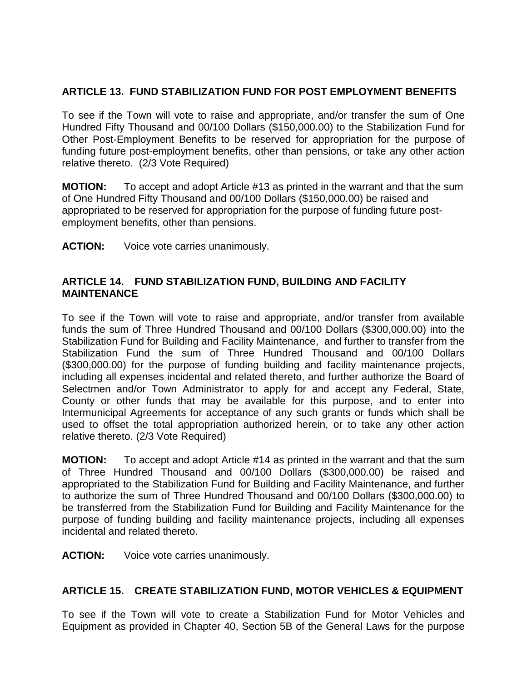# **ARTICLE 13. FUND STABILIZATION FUND FOR POST EMPLOYMENT BENEFITS**

To see if the Town will vote to raise and appropriate, and/or transfer the sum of One Hundred Fifty Thousand and 00/100 Dollars (\$150,000.00) to the Stabilization Fund for Other Post-Employment Benefits to be reserved for appropriation for the purpose of funding future post-employment benefits, other than pensions, or take any other action relative thereto. (2/3 Vote Required)

**MOTION:** To accept and adopt Article #13 as printed in the warrant and that the sum of One Hundred Fifty Thousand and 00/100 Dollars (\$150,000.00) be raised and appropriated to be reserved for appropriation for the purpose of funding future postemployment benefits, other than pensions.

**ACTION:** Voice vote carries unanimously.

#### **ARTICLE 14. FUND STABILIZATION FUND, BUILDING AND FACILITY MAINTENANCE**

To see if the Town will vote to raise and appropriate, and/or transfer from available funds the sum of Three Hundred Thousand and 00/100 Dollars (\$300,000.00) into the Stabilization Fund for Building and Facility Maintenance, and further to transfer from the Stabilization Fund the sum of Three Hundred Thousand and 00/100 Dollars (\$300,000.00) for the purpose of funding building and facility maintenance projects, including all expenses incidental and related thereto, and further authorize the Board of Selectmen and/or Town Administrator to apply for and accept any Federal, State, County or other funds that may be available for this purpose, and to enter into Intermunicipal Agreements for acceptance of any such grants or funds which shall be used to offset the total appropriation authorized herein, or to take any other action relative thereto. (2/3 Vote Required)

**MOTION:** To accept and adopt Article #14 as printed in the warrant and that the sum of Three Hundred Thousand and 00/100 Dollars (\$300,000.00) be raised and appropriated to the Stabilization Fund for Building and Facility Maintenance, and further to authorize the sum of Three Hundred Thousand and 00/100 Dollars (\$300,000.00) to be transferred from the Stabilization Fund for Building and Facility Maintenance for the purpose of funding building and facility maintenance projects, including all expenses incidental and related thereto.

**ACTION:** Voice vote carries unanimously.

#### **ARTICLE 15. CREATE STABILIZATION FUND, MOTOR VEHICLES & EQUIPMENT**

To see if the Town will vote to create a Stabilization Fund for Motor Vehicles and Equipment as provided in Chapter 40, Section 5B of the General Laws for the purpose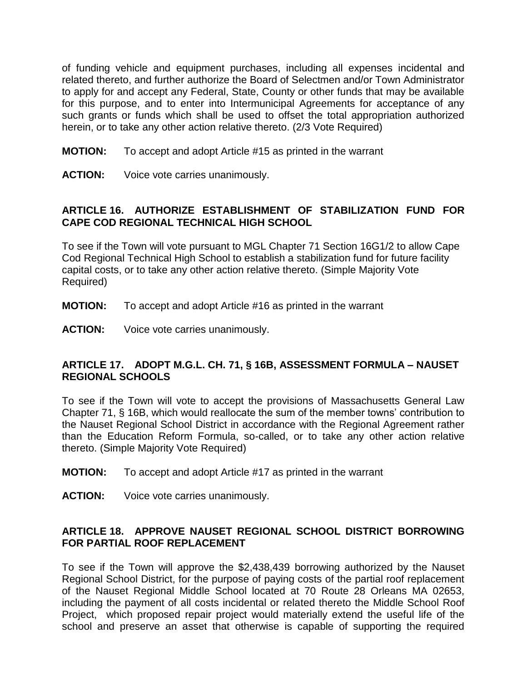of funding vehicle and equipment purchases, including all expenses incidental and related thereto, and further authorize the Board of Selectmen and/or Town Administrator to apply for and accept any Federal, State, County or other funds that may be available for this purpose, and to enter into Intermunicipal Agreements for acceptance of any such grants or funds which shall be used to offset the total appropriation authorized herein, or to take any other action relative thereto. (2/3 Vote Required)

- **MOTION:** To accept and adopt Article #15 as printed in the warrant
- **ACTION:** Voice vote carries unanimously.

### **ARTICLE 16. AUTHORIZE ESTABLISHMENT OF STABILIZATION FUND FOR CAPE COD REGIONAL TECHNICAL HIGH SCHOOL**

To see if the Town will vote pursuant to MGL Chapter 71 Section 16G1/2 to allow Cape Cod Regional Technical High School to establish a stabilization fund for future facility capital costs, or to take any other action relative thereto. (Simple Majority Vote Required)

- **MOTION:** To accept and adopt Article #16 as printed in the warrant
- **ACTION:** Voice vote carries unanimously.

### **ARTICLE 17. ADOPT M.G.L. CH. 71, § 16B, ASSESSMENT FORMULA – NAUSET REGIONAL SCHOOLS**

To see if the Town will vote to accept the provisions of Massachusetts General Law Chapter 71, § 16B, which would reallocate the sum of the member towns' contribution to the Nauset Regional School District in accordance with the Regional Agreement rather than the Education Reform Formula, so-called, or to take any other action relative thereto. (Simple Majority Vote Required)

- **MOTION:** To accept and adopt Article #17 as printed in the warrant
- **ACTION:** Voice vote carries unanimously.

### **ARTICLE 18. APPROVE NAUSET REGIONAL SCHOOL DISTRICT BORROWING FOR PARTIAL ROOF REPLACEMENT**

To see if the Town will approve the \$2,438,439 borrowing authorized by the Nauset Regional School District, for the purpose of paying costs of the partial roof replacement of the Nauset Regional Middle School located at 70 Route 28 Orleans MA 02653, including the payment of all costs incidental or related thereto the Middle School Roof Project, which proposed repair project would materially extend the useful life of the school and preserve an asset that otherwise is capable of supporting the required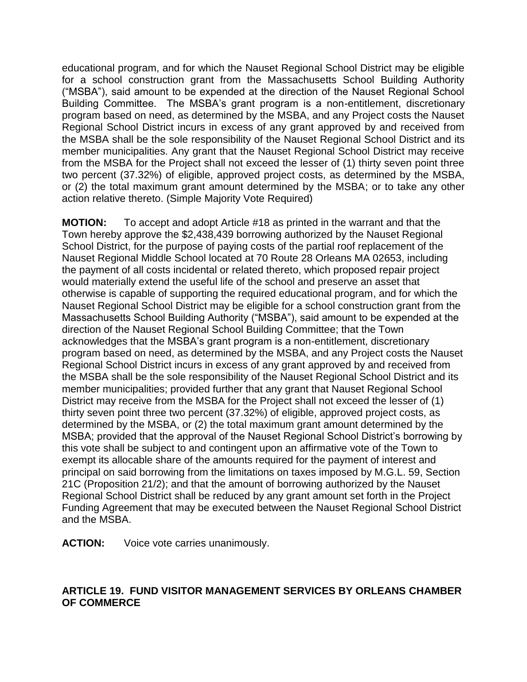educational program, and for which the Nauset Regional School District may be eligible for a school construction grant from the Massachusetts School Building Authority ("MSBA"), said amount to be expended at the direction of the Nauset Regional School Building Committee. The MSBA's grant program is a non-entitlement, discretionary program based on need, as determined by the MSBA, and any Project costs the Nauset Regional School District incurs in excess of any grant approved by and received from the MSBA shall be the sole responsibility of the Nauset Regional School District and its member municipalities. Any grant that the Nauset Regional School District may receive from the MSBA for the Project shall not exceed the lesser of (1) thirty seven point three two percent (37.32%) of eligible, approved project costs, as determined by the MSBA, or (2) the total maximum grant amount determined by the MSBA; or to take any other action relative thereto. (Simple Majority Vote Required)

**MOTION:** To accept and adopt Article #18 as printed in the warrant and that the Town hereby approve the \$2,438,439 borrowing authorized by the Nauset Regional School District, for the purpose of paying costs of the partial roof replacement of the Nauset Regional Middle School located at 70 Route 28 Orleans MA 02653, including the payment of all costs incidental or related thereto, which proposed repair project would materially extend the useful life of the school and preserve an asset that otherwise is capable of supporting the required educational program, and for which the Nauset Regional School District may be eligible for a school construction grant from the Massachusetts School Building Authority ("MSBA"), said amount to be expended at the direction of the Nauset Regional School Building Committee; that the Town acknowledges that the MSBA's grant program is a non-entitlement, discretionary program based on need, as determined by the MSBA, and any Project costs the Nauset Regional School District incurs in excess of any grant approved by and received from the MSBA shall be the sole responsibility of the Nauset Regional School District and its member municipalities; provided further that any grant that Nauset Regional School District may receive from the MSBA for the Project shall not exceed the lesser of (1) thirty seven point three two percent (37.32%) of eligible, approved project costs, as determined by the MSBA, or (2) the total maximum grant amount determined by the MSBA; provided that the approval of the Nauset Regional School District's borrowing by this vote shall be subject to and contingent upon an affirmative vote of the Town to exempt its allocable share of the amounts required for the payment of interest and principal on said borrowing from the limitations on taxes imposed by M.G.L. 59, Section 21C (Proposition 21/2); and that the amount of borrowing authorized by the Nauset Regional School District shall be reduced by any grant amount set forth in the Project Funding Agreement that may be executed between the Nauset Regional School District and the MSBA.

**ACTION:** Voice vote carries unanimously.

# **ARTICLE 19. FUND VISITOR MANAGEMENT SERVICES BY ORLEANS CHAMBER OF COMMERCE**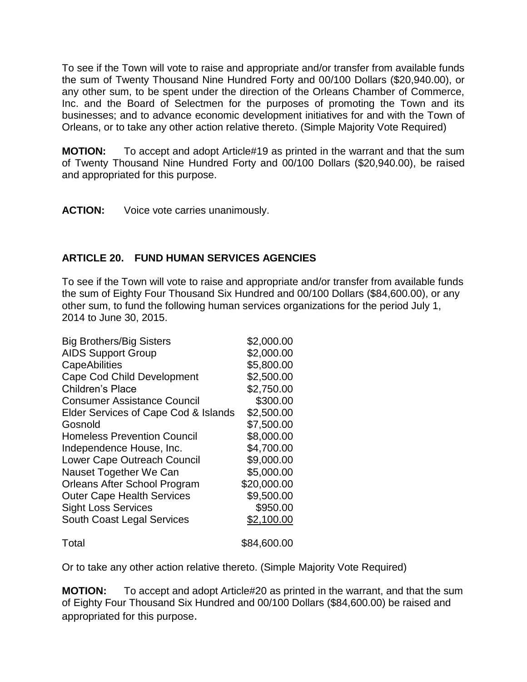To see if the Town will vote to raise and appropriate and/or transfer from available funds the sum of Twenty Thousand Nine Hundred Forty and 00/100 Dollars (\$20,940.00), or any other sum, to be spent under the direction of the Orleans Chamber of Commerce, Inc. and the Board of Selectmen for the purposes of promoting the Town and its businesses; and to advance economic development initiatives for and with the Town of Orleans, or to take any other action relative thereto. (Simple Majority Vote Required)

**MOTION:** To accept and adopt Article#19 as printed in the warrant and that the sum of Twenty Thousand Nine Hundred Forty and 00/100 Dollars (\$20,940.00), be raised and appropriated for this purpose.

**ACTION:** Voice vote carries unanimously.

# **ARTICLE 20. FUND HUMAN SERVICES AGENCIES**

To see if the Town will vote to raise and appropriate and/or transfer from available funds the sum of Eighty Four Thousand Six Hundred and 00/100 Dollars (\$84,600.00), or any other sum, to fund the following human services organizations for the period July 1, 2014 to June 30, 2015.

| <b>Big Brothers/Big Sisters</b>      | \$2,000.00  |
|--------------------------------------|-------------|
| <b>AIDS Support Group</b>            | \$2,000.00  |
| <b>CapeAbilities</b>                 | \$5,800.00  |
| Cape Cod Child Development           | \$2,500.00  |
| Children's Place                     | \$2,750.00  |
| <b>Consumer Assistance Council</b>   | \$300.00    |
| Elder Services of Cape Cod & Islands | \$2,500.00  |
| Gosnold                              | \$7,500.00  |
| <b>Homeless Prevention Council</b>   | \$8,000.00  |
| Independence House, Inc.             | \$4,700.00  |
| Lower Cape Outreach Council          | \$9,000.00  |
| Nauset Together We Can               | \$5,000.00  |
| Orleans After School Program         | \$20,000.00 |
| <b>Outer Cape Health Services</b>    | \$9,500.00  |
| <b>Sight Loss Services</b>           | \$950.00    |
| <b>South Coast Legal Services</b>    | \$2,100.00  |
| Total                                | \$84,600.00 |

Or to take any other action relative thereto. (Simple Majority Vote Required)

**MOTION:** To accept and adopt Article#20 as printed in the warrant, and that the sum of Eighty Four Thousand Six Hundred and 00/100 Dollars (\$84,600.00) be raised and appropriated for this purpose.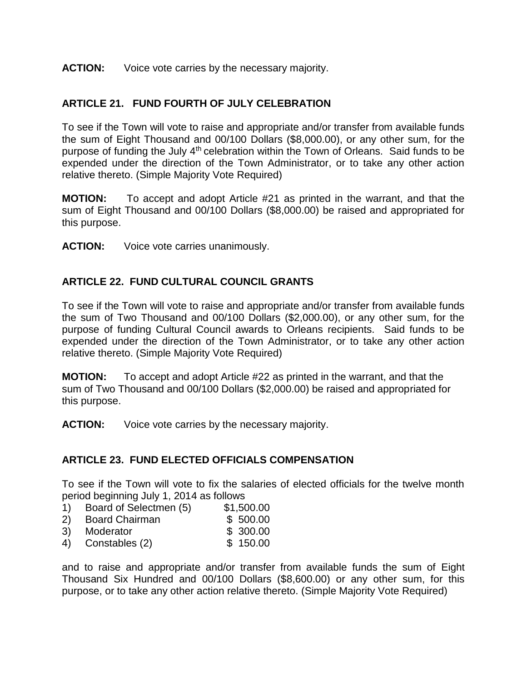### **ACTION:** Voice vote carries by the necessary majority.

# **ARTICLE 21. FUND FOURTH OF JULY CELEBRATION**

To see if the Town will vote to raise and appropriate and/or transfer from available funds the sum of Eight Thousand and 00/100 Dollars (\$8,000.00), or any other sum, for the purpose of funding the July 4<sup>th</sup> celebration within the Town of Orleans. Said funds to be expended under the direction of the Town Administrator, or to take any other action relative thereto. (Simple Majority Vote Required)

**MOTION:** To accept and adopt Article #21 as printed in the warrant, and that the sum of Eight Thousand and 00/100 Dollars (\$8,000.00) be raised and appropriated for this purpose.

**ACTION:** Voice vote carries unanimously.

# **ARTICLE 22. FUND CULTURAL COUNCIL GRANTS**

To see if the Town will vote to raise and appropriate and/or transfer from available funds the sum of Two Thousand and 00/100 Dollars (\$2,000.00), or any other sum, for the purpose of funding Cultural Council awards to Orleans recipients. Said funds to be expended under the direction of the Town Administrator, or to take any other action relative thereto. (Simple Majority Vote Required)

**MOTION:** To accept and adopt Article #22 as printed in the warrant, and that the sum of Two Thousand and 00/100 Dollars (\$2,000.00) be raised and appropriated for this purpose.

**ACTION:** Voice vote carries by the necessary majority.

# **ARTICLE 23. FUND ELECTED OFFICIALS COMPENSATION**

To see if the Town will vote to fix the salaries of elected officials for the twelve month period beginning July 1, 2014 as follows

- 1) Board of Selectmen (5) \$1,500.00
- 2) Board Chairman \$ 500.00
- 3) Moderator \$ 300.00
- 4) Constables (2) \$ 150.00

and to raise and appropriate and/or transfer from available funds the sum of Eight Thousand Six Hundred and 00/100 Dollars (\$8,600.00) or any other sum, for this purpose, or to take any other action relative thereto. (Simple Majority Vote Required)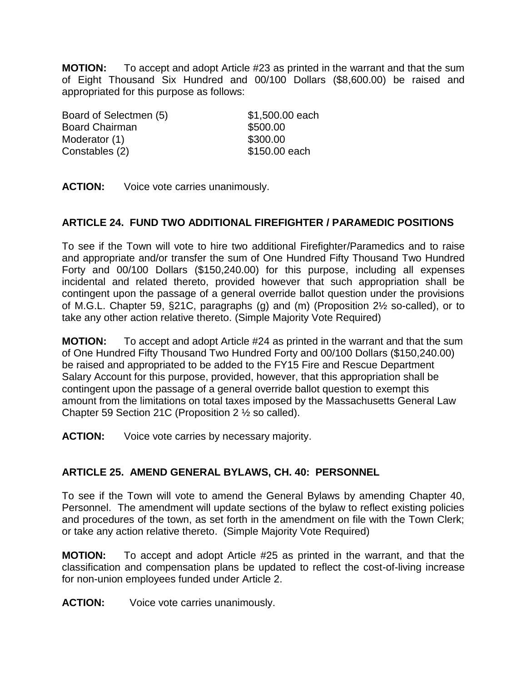**MOTION:** To accept and adopt Article #23 as printed in the warrant and that the sum of Eight Thousand Six Hundred and 00/100 Dollars (\$8,600.00) be raised and appropriated for this purpose as follows:

Board of Selectmen (5) \$1,500.00 each Board Chairman \$500.00 Moderator (1) \$300.00 Constables (2) \$150.00 each

**ACTION:** Voice vote carries unanimously.

# **ARTICLE 24. FUND TWO ADDITIONAL FIREFIGHTER / PARAMEDIC POSITIONS**

To see if the Town will vote to hire two additional Firefighter/Paramedics and to raise and appropriate and/or transfer the sum of One Hundred Fifty Thousand Two Hundred Forty and 00/100 Dollars (\$150,240.00) for this purpose, including all expenses incidental and related thereto, provided however that such appropriation shall be contingent upon the passage of a general override ballot question under the provisions of M.G.L. Chapter 59, §21C, paragraphs (g) and (m) (Proposition 2½ so-called), or to take any other action relative thereto. (Simple Majority Vote Required)

**MOTION:** To accept and adopt Article #24 as printed in the warrant and that the sum of One Hundred Fifty Thousand Two Hundred Forty and 00/100 Dollars (\$150,240.00) be raised and appropriated to be added to the FY15 Fire and Rescue Department Salary Account for this purpose, provided, however, that this appropriation shall be contingent upon the passage of a general override ballot question to exempt this amount from the limitations on total taxes imposed by the Massachusetts General Law Chapter 59 Section 21C (Proposition 2 ½ so called).

**ACTION:** Voice vote carries by necessary majority.

# **ARTICLE 25. AMEND GENERAL BYLAWS, CH. 40: PERSONNEL**

To see if the Town will vote to amend the General Bylaws by amending Chapter 40, Personnel. The amendment will update sections of the bylaw to reflect existing policies and procedures of the town, as set forth in the amendment on file with the Town Clerk; or take any action relative thereto. (Simple Majority Vote Required)

**MOTION:** To accept and adopt Article #25 as printed in the warrant, and that the classification and compensation plans be updated to reflect the cost-of-living increase for non-union employees funded under Article 2.

**ACTION:** Voice vote carries unanimously.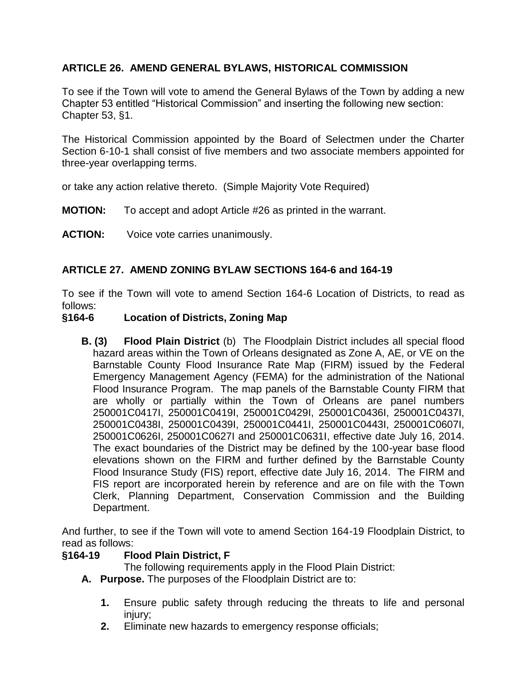# **ARTICLE 26. AMEND GENERAL BYLAWS, HISTORICAL COMMISSION**

To see if the Town will vote to amend the General Bylaws of the Town by adding a new Chapter 53 entitled "Historical Commission" and inserting the following new section: Chapter 53, §1.

The Historical Commission appointed by the Board of Selectmen under the Charter Section 6-10-1 shall consist of five members and two associate members appointed for three-year overlapping terms.

or take any action relative thereto. (Simple Majority Vote Required)

- **MOTION:** To accept and adopt Article #26 as printed in the warrant.
- **ACTION:** Voice vote carries unanimously.

# **ARTICLE 27. AMEND ZONING BYLAW SECTIONS 164-6 and 164-19**

To see if the Town will vote to amend Section 164-6 Location of Districts, to read as follows:

### **§164-6 Location of Districts, Zoning Map**

**B. (3) Flood Plain District** (b) The Floodplain District includes all special flood hazard areas within the Town of Orleans designated as Zone A, AE, or VE on the Barnstable County Flood Insurance Rate Map (FIRM) issued by the Federal Emergency Management Agency (FEMA) for the administration of the National Flood Insurance Program. The map panels of the Barnstable County FIRM that are wholly or partially within the Town of Orleans are panel numbers 250001C0417I, 250001C0419I, 250001C0429I, 250001C0436I, 250001C0437I, 250001C0438I, 250001C0439I, 250001C0441I, 250001C0443I, 250001C0607I, 250001C0626I, 250001C0627I and 250001C0631I, effective date July 16, 2014. The exact boundaries of the District may be defined by the 100-year base flood elevations shown on the FIRM and further defined by the Barnstable County Flood Insurance Study (FIS) report, effective date July 16, 2014. The FIRM and FIS report are incorporated herein by reference and are on file with the Town Clerk, Planning Department, Conservation Commission and the Building Department.

And further, to see if the Town will vote to amend Section 164-19 Floodplain District, to read as follows:

#### **§164-19 Flood Plain District, F**

The following requirements apply in the Flood Plain District:

- **A. Purpose.** The purposes of the Floodplain District are to:
	- **1.** Ensure public safety through reducing the threats to life and personal injury;
	- **2.** Eliminate new hazards to emergency response officials;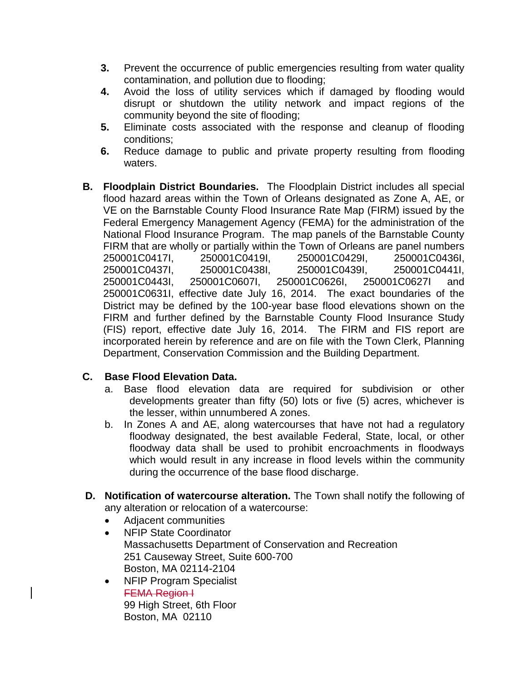- **3.** Prevent the occurrence of public emergencies resulting from water quality contamination, and pollution due to flooding;
- **4.** Avoid the loss of utility services which if damaged by flooding would disrupt or shutdown the utility network and impact regions of the community beyond the site of flooding;
- **5.** Eliminate costs associated with the response and cleanup of flooding conditions;
- **6.** Reduce damage to public and private property resulting from flooding waters.
- **B. Floodplain District Boundaries.** The Floodplain District includes all special flood hazard areas within the Town of Orleans designated as Zone A, AE, or VE on the Barnstable County Flood Insurance Rate Map (FIRM) issued by the Federal Emergency Management Agency (FEMA) for the administration of the National Flood Insurance Program. The map panels of the Barnstable County FIRM that are wholly or partially within the Town of Orleans are panel numbers 250001C0417I, 250001C0419I, 250001C0429I, 250001C0436I, 250001C0437I, 250001C0438I, 250001C0439I, 250001C0441I, 250001C0443I, 250001C0607I, 250001C0626I, 250001C0627I and 250001C0631I, effective date July 16, 2014. The exact boundaries of the District may be defined by the 100-year base flood elevations shown on the FIRM and further defined by the Barnstable County Flood Insurance Study (FIS) report, effective date July 16, 2014. The FIRM and FIS report are incorporated herein by reference and are on file with the Town Clerk, Planning Department, Conservation Commission and the Building Department.

# **C. Base Flood Elevation Data.**

- a. Base flood elevation data are required for subdivision or other developments greater than fifty (50) lots or five (5) acres, whichever is the lesser, within unnumbered A zones.
- b. In Zones A and AE, along watercourses that have not had a regulatory floodway designated, the best available Federal, State, local, or other floodway data shall be used to prohibit encroachments in floodways which would result in any increase in flood levels within the community during the occurrence of the base flood discharge.
- **D. Notification of watercourse alteration.** The Town shall notify the following of any alteration or relocation of a watercourse:
	- Adjacent communities
	- NFIP State Coordinator Massachusetts Department of Conservation and Recreation 251 Causeway Street, Suite 600-700 Boston, MA 02114-2104
	- NFIP Program Specialist FEMA Region I 99 High Street, 6th Floor Boston, MA 02110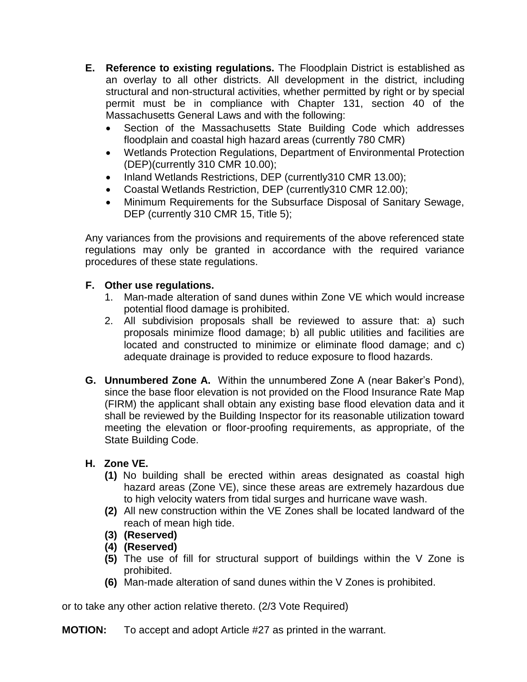- **E. Reference to existing regulations.** The Floodplain District is established as an overlay to all other districts. All development in the district, including structural and non-structural activities, whether permitted by right or by special permit must be in compliance with Chapter 131, section 40 of the Massachusetts General Laws and with the following:
	- Section of the Massachusetts State Building Code which addresses floodplain and coastal high hazard areas (currently 780 CMR)
	- Wetlands Protection Regulations, Department of Environmental Protection (DEP)(currently 310 CMR 10.00);
	- Inland Wetlands Restrictions, DEP (currently310 CMR 13.00);
	- Coastal Wetlands Restriction, DEP (currently310 CMR 12.00);
	- Minimum Requirements for the Subsurface Disposal of Sanitary Sewage, DEP (currently 310 CMR 15, Title 5);

Any variances from the provisions and requirements of the above referenced state regulations may only be granted in accordance with the required variance procedures of these state regulations.

# **F. Other use regulations.**

- 1. Man-made alteration of sand dunes within Zone VE which would increase potential flood damage is prohibited.
- 2. All subdivision proposals shall be reviewed to assure that: a) such proposals minimize flood damage; b) all public utilities and facilities are located and constructed to minimize or eliminate flood damage; and c) adequate drainage is provided to reduce exposure to flood hazards.
- **G. Unnumbered Zone A.** Within the unnumbered Zone A (near Baker's Pond), since the base floor elevation is not provided on the Flood Insurance Rate Map (FIRM) the applicant shall obtain any existing base flood elevation data and it shall be reviewed by the Building Inspector for its reasonable utilization toward meeting the elevation or floor-proofing requirements, as appropriate, of the State Building Code.

# **H. Zone VE.**

- **(1)** No building shall be erected within areas designated as coastal high hazard areas (Zone VE), since these areas are extremely hazardous due to high velocity waters from tidal surges and hurricane wave wash.
- **(2)** All new construction within the VE Zones shall be located landward of the reach of mean high tide.
- **(3) (Reserved)**
- **(4) (Reserved)**
- **(5)** The use of fill for structural support of buildings within the V Zone is prohibited.
- **(6)** Man-made alteration of sand dunes within the V Zones is prohibited.

or to take any other action relative thereto. (2/3 Vote Required)

**MOTION:** To accept and adopt Article #27 as printed in the warrant.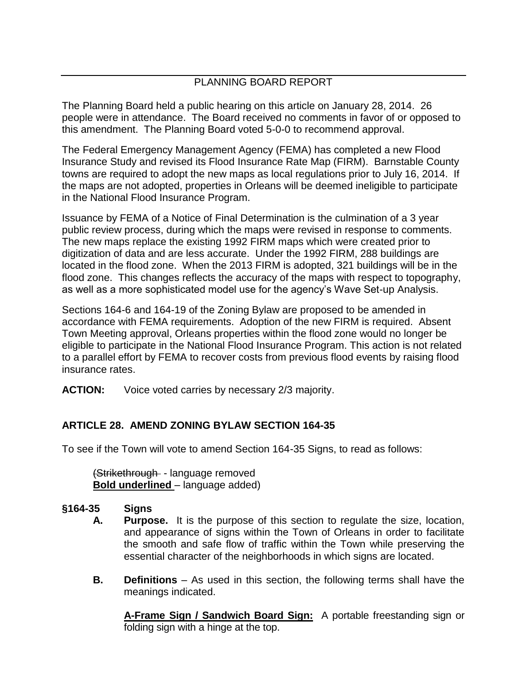# PLANNING BOARD REPORT

The Planning Board held a public hearing on this article on January 28, 2014. 26 people were in attendance. The Board received no comments in favor of or opposed to this amendment. The Planning Board voted 5-0-0 to recommend approval.

The Federal Emergency Management Agency (FEMA) has completed a new Flood Insurance Study and revised its Flood Insurance Rate Map (FIRM). Barnstable County towns are required to adopt the new maps as local regulations prior to July 16, 2014. If the maps are not adopted, properties in Orleans will be deemed ineligible to participate in the National Flood Insurance Program.

Issuance by FEMA of a Notice of Final Determination is the culmination of a 3 year public review process, during which the maps were revised in response to comments. The new maps replace the existing 1992 FIRM maps which were created prior to digitization of data and are less accurate. Under the 1992 FIRM, 288 buildings are located in the flood zone. When the 2013 FIRM is adopted, 321 buildings will be in the flood zone. This changes reflects the accuracy of the maps with respect to topography, as well as a more sophisticated model use for the agency's Wave Set-up Analysis.

Sections 164-6 and 164-19 of the Zoning Bylaw are proposed to be amended in accordance with FEMA requirements. Adoption of the new FIRM is required. Absent Town Meeting approval, Orleans properties within the flood zone would no longer be eligible to participate in the National Flood Insurance Program. This action is not related to a parallel effort by FEMA to recover costs from previous flood events by raising flood insurance rates.

**ACTION:** Voice voted carries by necessary 2/3 majority.

# **ARTICLE 28. AMEND ZONING BYLAW SECTION 164-35**

To see if the Town will vote to amend Section 164-35 Signs, to read as follows:

(Strikethrough - language removed **Bold underlined** – language added)

# **§164-35 Signs**

- **A. Purpose.** It is the purpose of this section to regulate the size, location, and appearance of signs within the Town of Orleans in order to facilitate the smooth and safe flow of traffic within the Town while preserving the essential character of the neighborhoods in which signs are located.
- **B. Definitions** As used in this section, the following terms shall have the meanings indicated.

**A-Frame Sign / Sandwich Board Sign:** A portable freestanding sign or folding sign with a hinge at the top.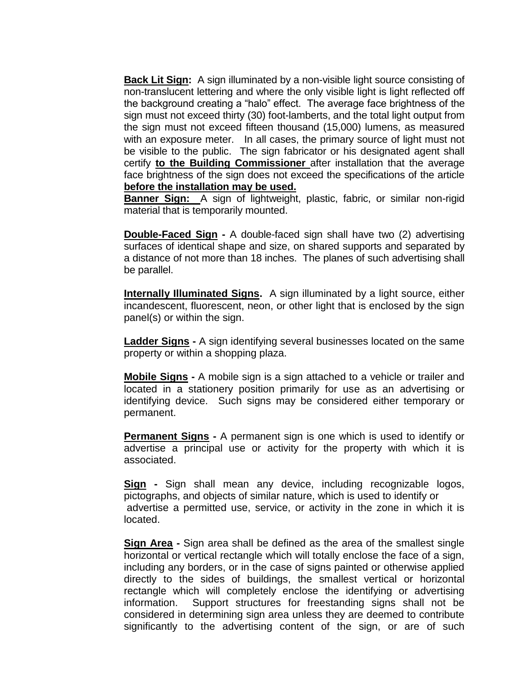**Back Lit Sign:** A sign illuminated by a non-visible light source consisting of non-translucent lettering and where the only visible light is light reflected off the background creating a "halo" effect. The average face brightness of the sign must not exceed thirty (30) foot-lamberts, and the total light output from the sign must not exceed fifteen thousand (15,000) lumens, as measured with an exposure meter. In all cases, the primary source of light must not be visible to the public. The sign fabricator or his designated agent shall certify **to the Building Commissioner** after installation that the average face brightness of the sign does not exceed the specifications of the article **before the installation may be used.** 

**Banner Sign:** A sign of lightweight, plastic, fabric, or similar non-rigid material that is temporarily mounted.

**Double-Faced Sign -** A double-faced sign shall have two (2) advertising surfaces of identical shape and size, on shared supports and separated by a distance of not more than 18 inches. The planes of such advertising shall be parallel.

**Internally Illuminated Signs.** A sign illuminated by a light source, either incandescent, fluorescent, neon, or other light that is enclosed by the sign panel(s) or within the sign.

**Ladder Signs -** A sign identifying several businesses located on the same property or within a shopping plaza.

**Mobile Signs -** A mobile sign is a sign attached to a vehicle or trailer and located in a stationery position primarily for use as an advertising or identifying device. Such signs may be considered either temporary or permanent.

**Permanent Signs -** A permanent sign is one which is used to identify or advertise a principal use or activity for the property with which it is associated.

**Sign -** Sign shall mean any device, including recognizable logos, pictographs, and objects of similar nature, which is used to identify or advertise a permitted use, service, or activity in the zone in which it is located.

**Sign Area -** Sign area shall be defined as the area of the smallest single horizontal or vertical rectangle which will totally enclose the face of a sign, including any borders, or in the case of signs painted or otherwise applied directly to the sides of buildings, the smallest vertical or horizontal rectangle which will completely enclose the identifying or advertising information. Support structures for freestanding signs shall not be considered in determining sign area unless they are deemed to contribute significantly to the advertising content of the sign, or are of such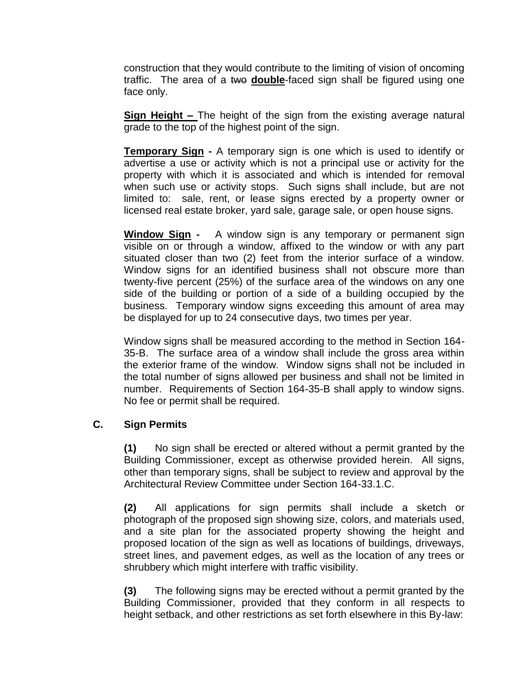construction that they would contribute to the limiting of vision of oncoming traffic. The area of a two **double**-faced sign shall be figured using one face only.

**Sign Height –** The height of the sign from the existing average natural grade to the top of the highest point of the sign.

**Temporary Sign -** A temporary sign is one which is used to identify or advertise a use or activity which is not a principal use or activity for the property with which it is associated and which is intended for removal when such use or activity stops. Such signs shall include, but are not limited to: sale, rent, or lease signs erected by a property owner or licensed real estate broker, yard sale, garage sale, or open house signs.

**Window Sign -** A window sign is any temporary or permanent sign visible on or through a window, affixed to the window or with any part situated closer than two (2) feet from the interior surface of a window. Window signs for an identified business shall not obscure more than twenty-five percent (25%) of the surface area of the windows on any one side of the building or portion of a side of a building occupied by the business. Temporary window signs exceeding this amount of area may be displayed for up to 24 consecutive days, two times per year.

Window signs shall be measured according to the method in Section 164- 35-B. The surface area of a window shall include the gross area within the exterior frame of the window. Window signs shall not be included in the total number of signs allowed per business and shall not be limited in number. Requirements of Section 164-35-B shall apply to window signs. No fee or permit shall be required.

#### **C. Sign Permits**

**(1)** No sign shall be erected or altered without a permit granted by the Building Commissioner, except as otherwise provided herein. All signs, other than temporary signs, shall be subject to review and approval by the Architectural Review Committee under Section 164-33.1.C.

**(2)** All applications for sign permits shall include a sketch or photograph of the proposed sign showing size, colors, and materials used, and a site plan for the associated property showing the height and proposed location of the sign as well as locations of buildings, driveways, street lines, and pavement edges, as well as the location of any trees or shrubbery which might interfere with traffic visibility.

**(3)** The following signs may be erected without a permit granted by the Building Commissioner, provided that they conform in all respects to height setback, and other restrictions as set forth elsewhere in this By-law: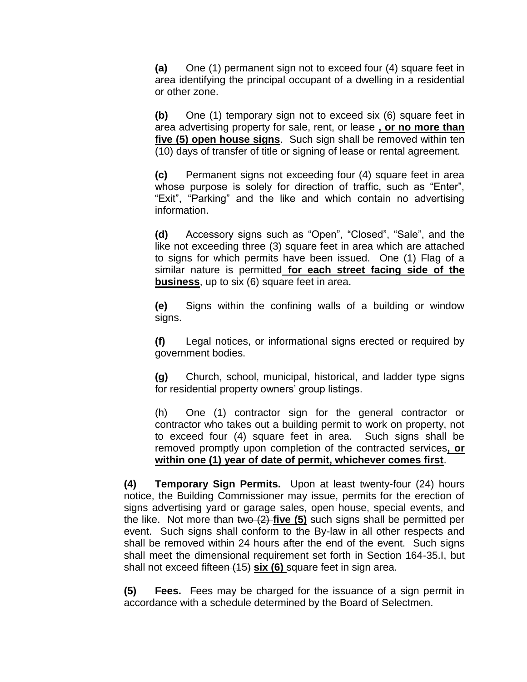**(a)** One (1) permanent sign not to exceed four (4) square feet in area identifying the principal occupant of a dwelling in a residential or other zone.

**(b)** One (1) temporary sign not to exceed six (6) square feet in area advertising property for sale, rent, or lease **, or no more than five (5) open house signs**. Such sign shall be removed within ten (10) days of transfer of title or signing of lease or rental agreement.

**(c)** Permanent signs not exceeding four (4) square feet in area whose purpose is solely for direction of traffic, such as "Enter", "Exit", "Parking" and the like and which contain no advertising information.

**(d)** Accessory signs such as "Open", "Closed", "Sale", and the like not exceeding three (3) square feet in area which are attached to signs for which permits have been issued. One (1) Flag of a similar nature is permitted **for each street facing side of the business**, up to six (6) square feet in area.

**(e)** Signs within the confining walls of a building or window signs.

**(f)** Legal notices, or informational signs erected or required by government bodies.

**(g)** Church, school, municipal, historical, and ladder type signs for residential property owners' group listings.

(h) One (1) contractor sign for the general contractor or contractor who takes out a building permit to work on property, not to exceed four (4) square feet in area. Such signs shall be removed promptly upon completion of the contracted services**, or within one (1) year of date of permit, whichever comes first**.

**(4) Temporary Sign Permits.** Upon at least twenty-four (24) hours notice, the Building Commissioner may issue, permits for the erection of signs advertising yard or garage sales, open house, special events, and the like. Not more than two (2) **five (5)** such signs shall be permitted per event. Such signs shall conform to the By-law in all other respects and shall be removed within 24 hours after the end of the event. Such signs shall meet the dimensional requirement set forth in Section 164-35.I, but shall not exceed fifteen (15) **six (6)** square feet in sign area.

**(5) Fees.** Fees may be charged for the issuance of a sign permit in accordance with a schedule determined by the Board of Selectmen.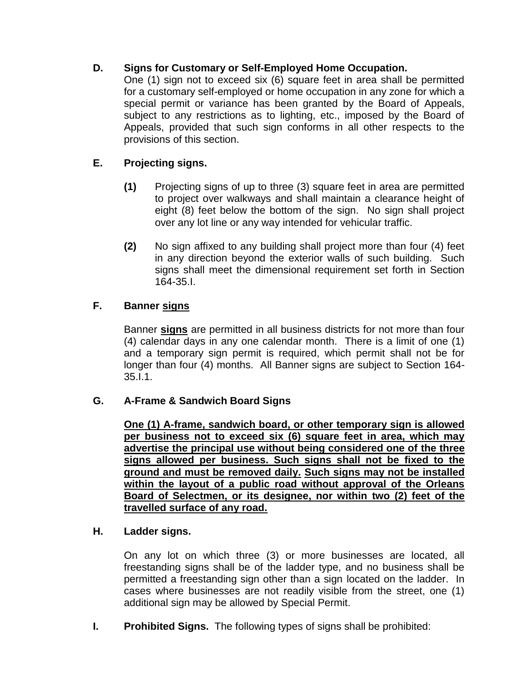# **D. Signs for Customary or Self-Employed Home Occupation.**

One (1) sign not to exceed six (6) square feet in area shall be permitted for a customary self-employed or home occupation in any zone for which a special permit or variance has been granted by the Board of Appeals, subject to any restrictions as to lighting, etc., imposed by the Board of Appeals, provided that such sign conforms in all other respects to the provisions of this section.

# **E. Projecting signs.**

- **(1)** Projecting signs of up to three (3) square feet in area are permitted to project over walkways and shall maintain a clearance height of eight (8) feet below the bottom of the sign. No sign shall project over any lot line or any way intended for vehicular traffic.
- **(2)** No sign affixed to any building shall project more than four (4) feet in any direction beyond the exterior walls of such building. Such signs shall meet the dimensional requirement set forth in Section 164-35.I.

# **F. Banner signs**

Banner **signs** are permitted in all business districts for not more than four (4) calendar days in any one calendar month. There is a limit of one (1) and a temporary sign permit is required, which permit shall not be for longer than four (4) months. All Banner signs are subject to Section 164- 35.I.1.

# **G. A-Frame & Sandwich Board Signs**

**One (1) A-frame, sandwich board, or other temporary sign is allowed per business not to exceed six (6) square feet in area, which may advertise the principal use without being considered one of the three signs allowed per business. Such signs shall not be fixed to the ground and must be removed daily. Such signs may not be installed within the layout of a public road without approval of the Orleans Board of Selectmen, or its designee, nor within two (2) feet of the travelled surface of any road.**

#### **H. Ladder signs.**

On any lot on which three (3) or more businesses are located, all freestanding signs shall be of the ladder type, and no business shall be permitted a freestanding sign other than a sign located on the ladder. In cases where businesses are not readily visible from the street, one (1) additional sign may be allowed by Special Permit.

**I. Prohibited Signs.** The following types of signs shall be prohibited: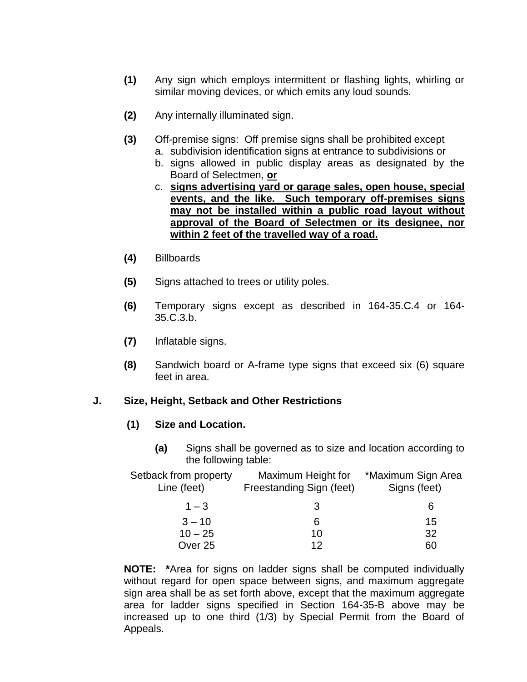- **(1)** Any sign which employs intermittent or flashing lights, whirling or similar moving devices, or which emits any loud sounds.
- **(2)** Any internally illuminated sign.
- **(3)** Off-premise signs: Off premise signs shall be prohibited except
	- a. subdivision identification signs at entrance to subdivisions or
	- b. signs allowed in public display areas as designated by the Board of Selectmen, **or**
	- c. **signs advertising yard or garage sales, open house, special events, and the like. Such temporary off-premises signs may not be installed within a public road layout without approval of the Board of Selectmen or its designee, nor within 2 feet of the travelled way of a road.**
- **(4)** Billboards
- **(5)** Signs attached to trees or utility poles.
- **(6)** Temporary signs except as described in 164-35.C.4 or 164- 35.C.3.b.
- **(7)** Inflatable signs.
- **(8)** Sandwich board or A-frame type signs that exceed six (6) square feet in area.

#### **J. Size, Height, Setback and Other Restrictions**

#### **(1) Size and Location.**

**(a)** Signs shall be governed as to size and location according to the following table:

| Setback from property<br>Line (feet) | Maximum Height for<br>Freestanding Sign (feet) | *Maximum Sign Area<br>Signs (feet) |  |  |  |
|--------------------------------------|------------------------------------------------|------------------------------------|--|--|--|
| $1 - 3$                              | 3                                              | 6                                  |  |  |  |
| $3 - 10$                             | 6                                              | 15                                 |  |  |  |
| $10 - 25$                            | 10                                             | 32                                 |  |  |  |
| Over <sub>25</sub>                   | 12                                             | 60                                 |  |  |  |

**NOTE: \***Area for signs on ladder signs shall be computed individually without regard for open space between signs, and maximum aggregate sign area shall be as set forth above, except that the maximum aggregate area for ladder signs specified in Section 164-35-B above may be increased up to one third (1/3) by Special Permit from the Board of Appeals.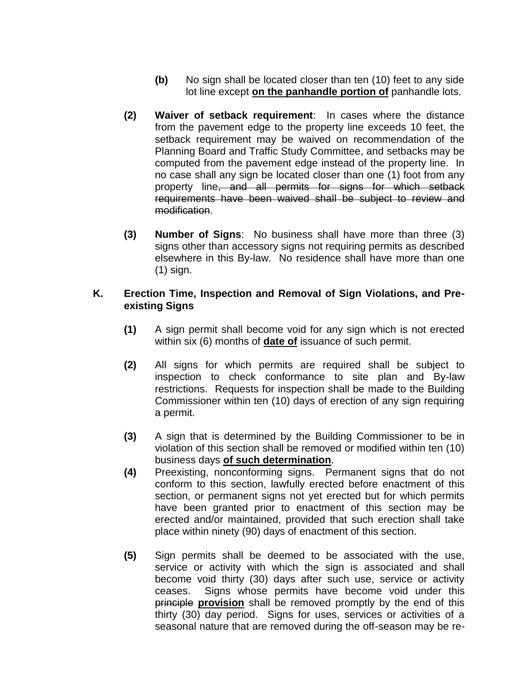- **(b)** No sign shall be located closer than ten (10) feet to any side lot line except **on the panhandle portion of** panhandle lots.
- **(2) Waiver of setback requirement**: In cases where the distance from the pavement edge to the property line exceeds 10 feet, the setback requirement may be waived on recommendation of the Planning Board and Traffic Study Committee, and setbacks may be computed from the pavement edge instead of the property line. In no case shall any sign be located closer than one (1) foot from any property line, and all permits for signs for which setback requirements have been waived shall be subject to review and modification.
- **(3) Number of Signs**: No business shall have more than three (3) signs other than accessory signs not requiring permits as described elsewhere in this By-law. No residence shall have more than one (1) sign.

### **K. Erection Time, Inspection and Removal of Sign Violations, and Preexisting Signs**

- **(1)** A sign permit shall become void for any sign which is not erected within six (6) months of **date of** issuance of such permit.
- **(2)** All signs for which permits are required shall be subject to inspection to check conformance to site plan and By-law restrictions. Requests for inspection shall be made to the Building Commissioner within ten (10) days of erection of any sign requiring a permit.
- **(3)** A sign that is determined by the Building Commissioner to be in violation of this section shall be removed or modified within ten (10) business days **of such determination**.
- **(4)** Preexisting, nonconforming signs. Permanent signs that do not conform to this section, lawfully erected before enactment of this section, or permanent signs not yet erected but for which permits have been granted prior to enactment of this section may be erected and/or maintained, provided that such erection shall take place within ninety (90) days of enactment of this section.
- **(5)** Sign permits shall be deemed to be associated with the use, service or activity with which the sign is associated and shall become void thirty (30) days after such use, service or activity ceases. Signs whose permits have become void under this principle **provision** shall be removed promptly by the end of this thirty (30) day period. Signs for uses, services or activities of a seasonal nature that are removed during the off-season may be re-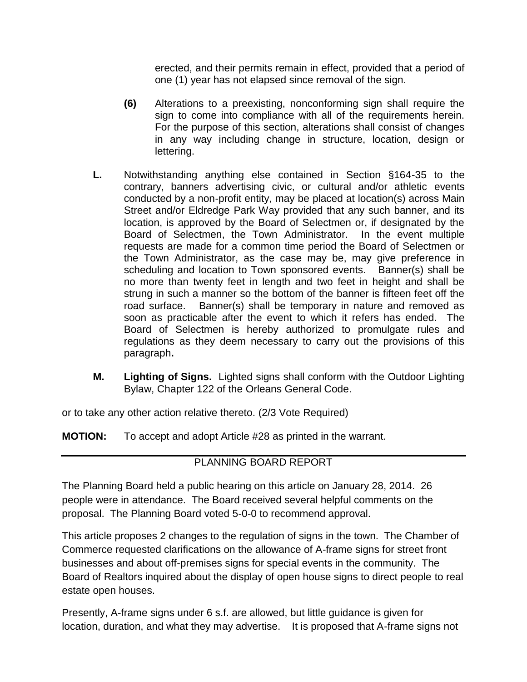erected, and their permits remain in effect, provided that a period of one (1) year has not elapsed since removal of the sign.

- **(6)** Alterations to a preexisting, nonconforming sign shall require the sign to come into compliance with all of the requirements herein. For the purpose of this section, alterations shall consist of changes in any way including change in structure, location, design or lettering.
- **L.** Notwithstanding anything else contained in Section §164-35 to the contrary, banners advertising civic, or cultural and/or athletic events conducted by a non-profit entity, may be placed at location(s) across Main Street and/or Eldredge Park Way provided that any such banner, and its location, is approved by the Board of Selectmen or, if designated by the Board of Selectmen, the Town Administrator. In the event multiple requests are made for a common time period the Board of Selectmen or the Town Administrator, as the case may be, may give preference in scheduling and location to Town sponsored events. Banner(s) shall be no more than twenty feet in length and two feet in height and shall be strung in such a manner so the bottom of the banner is fifteen feet off the road surface. Banner(s) shall be temporary in nature and removed as soon as practicable after the event to which it refers has ended. The Board of Selectmen is hereby authorized to promulgate rules and regulations as they deem necessary to carry out the provisions of this paragraph**.**
- **M. Lighting of Signs.** Lighted signs shall conform with the Outdoor Lighting Bylaw, Chapter 122 of the Orleans General Code.

or to take any other action relative thereto. (2/3 Vote Required)

**MOTION:** To accept and adopt Article #28 as printed in the warrant.

# PLANNING BOARD REPORT

The Planning Board held a public hearing on this article on January 28, 2014. 26 people were in attendance. The Board received several helpful comments on the proposal. The Planning Board voted 5-0-0 to recommend approval.

This article proposes 2 changes to the regulation of signs in the town. The Chamber of Commerce requested clarifications on the allowance of A-frame signs for street front businesses and about off-premises signs for special events in the community. The Board of Realtors inquired about the display of open house signs to direct people to real estate open houses.

Presently, A-frame signs under 6 s.f. are allowed, but little guidance is given for location, duration, and what they may advertise. It is proposed that A-frame signs not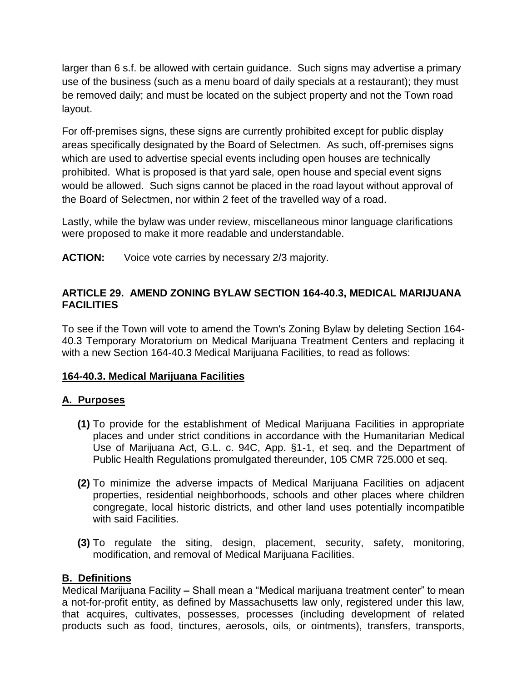larger than 6 s.f. be allowed with certain guidance. Such signs may advertise a primary use of the business (such as a menu board of daily specials at a restaurant); they must be removed daily; and must be located on the subject property and not the Town road layout.

For off-premises signs, these signs are currently prohibited except for public display areas specifically designated by the Board of Selectmen. As such, off-premises signs which are used to advertise special events including open houses are technically prohibited. What is proposed is that yard sale, open house and special event signs would be allowed. Such signs cannot be placed in the road layout without approval of the Board of Selectmen, nor within 2 feet of the travelled way of a road.

Lastly, while the bylaw was under review, miscellaneous minor language clarifications were proposed to make it more readable and understandable.

**ACTION:** Voice vote carries by necessary 2/3 majority.

# **ARTICLE 29. AMEND ZONING BYLAW SECTION 164-40.3, MEDICAL MARIJUANA FACILITIES**

To see if the Town will vote to amend the Town's Zoning Bylaw by deleting Section 164- 40.3 Temporary Moratorium on Medical Marijuana Treatment Centers and replacing it with a new Section 164-40.3 Medical Marijuana Facilities, to read as follows:

# **164-40.3. Medical Marijuana Facilities**

# **A. Purposes**

- **(1)** To provide for the establishment of Medical Marijuana Facilities in appropriate places and under strict conditions in accordance with the Humanitarian Medical Use of Marijuana Act, G.L. c. 94C, App. §1-1, et seq. and the Department of Public Health Regulations promulgated thereunder, 105 CMR 725.000 et seq.
- **(2)** To minimize the adverse impacts of Medical Marijuana Facilities on adjacent properties, residential neighborhoods, schools and other places where children congregate, local historic districts, and other land uses potentially incompatible with said Facilities.
- **(3)** To regulate the siting, design, placement, security, safety, monitoring, modification, and removal of Medical Marijuana Facilities.

# **B. Definitions**

Medical Marijuana Facility **–** Shall mean a "Medical marijuana treatment center" to mean a not-for-profit entity, as defined by Massachusetts law only, registered under this law, that acquires, cultivates, possesses, processes (including development of related products such as food, tinctures, aerosols, oils, or ointments), transfers, transports,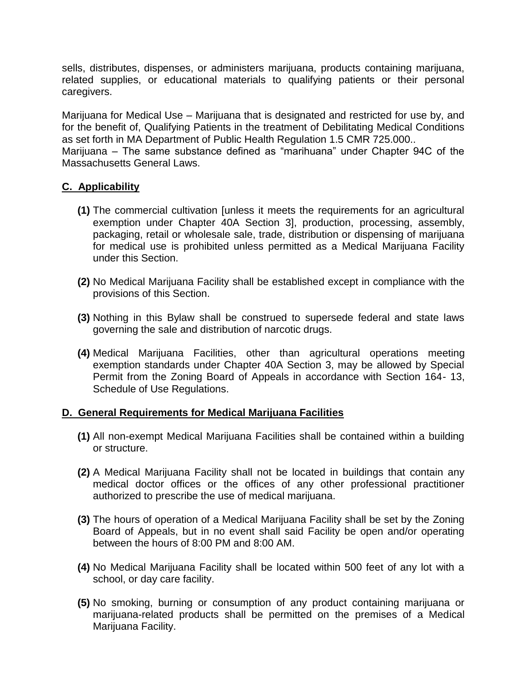sells, distributes, dispenses, or administers marijuana, products containing marijuana, related supplies, or educational materials to qualifying patients or their personal caregivers.

Marijuana for Medical Use – Marijuana that is designated and restricted for use by, and for the benefit of, Qualifying Patients in the treatment of Debilitating Medical Conditions as set forth in MA Department of Public Health Regulation 1.5 CMR 725.000.. Marijuana – The same substance defined as "marihuana" under Chapter 94C of the Massachusetts General Laws.

#### **C. Applicability**

- **(1)** The commercial cultivation [unless it meets the requirements for an agricultural exemption under Chapter 40A Section 3], production, processing, assembly, packaging, retail or wholesale sale, trade, distribution or dispensing of marijuana for medical use is prohibited unless permitted as a Medical Marijuana Facility under this Section.
- **(2)** No Medical Marijuana Facility shall be established except in compliance with the provisions of this Section.
- **(3)** Nothing in this Bylaw shall be construed to supersede federal and state laws governing the sale and distribution of narcotic drugs.
- **(4)** Medical Marijuana Facilities, other than agricultural operations meeting exemption standards under Chapter 40A Section 3, may be allowed by Special Permit from the Zoning Board of Appeals in accordance with Section 164- 13, Schedule of Use Regulations.

#### **D. General Requirements for Medical Marijuana Facilities**

- **(1)** All non-exempt Medical Marijuana Facilities shall be contained within a building or structure.
- **(2)** A Medical Marijuana Facility shall not be located in buildings that contain any medical doctor offices or the offices of any other professional practitioner authorized to prescribe the use of medical marijuana.
- **(3)** The hours of operation of a Medical Marijuana Facility shall be set by the Zoning Board of Appeals, but in no event shall said Facility be open and/or operating between the hours of 8:00 PM and 8:00 AM.
- **(4)** No Medical Marijuana Facility shall be located within 500 feet of any lot with a school, or day care facility.
- **(5)** No smoking, burning or consumption of any product containing marijuana or marijuana-related products shall be permitted on the premises of a Medical Marijuana Facility.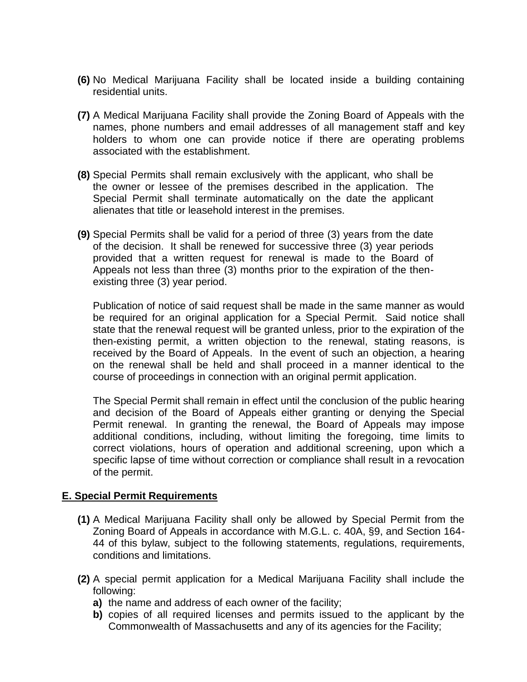- **(6)** No Medical Marijuana Facility shall be located inside a building containing residential units.
- **(7)** A Medical Marijuana Facility shall provide the Zoning Board of Appeals with the names, phone numbers and email addresses of all management staff and key holders to whom one can provide notice if there are operating problems associated with the establishment.
- **(8)** Special Permits shall remain exclusively with the applicant, who shall be the owner or lessee of the premises described in the application. The Special Permit shall terminate automatically on the date the applicant alienates that title or leasehold interest in the premises.
- **(9)** Special Permits shall be valid for a period of three (3) years from the date of the decision. It shall be renewed for successive three (3) year periods provided that a written request for renewal is made to the Board of Appeals not less than three (3) months prior to the expiration of the thenexisting three (3) year period.

Publication of notice of said request shall be made in the same manner as would be required for an original application for a Special Permit. Said notice shall state that the renewal request will be granted unless, prior to the expiration of the then-existing permit, a written objection to the renewal, stating reasons, is received by the Board of Appeals. In the event of such an objection, a hearing on the renewal shall be held and shall proceed in a manner identical to the course of proceedings in connection with an original permit application.

The Special Permit shall remain in effect until the conclusion of the public hearing and decision of the Board of Appeals either granting or denying the Special Permit renewal. In granting the renewal, the Board of Appeals may impose additional conditions, including, without limiting the foregoing, time limits to correct violations, hours of operation and additional screening, upon which a specific lapse of time without correction or compliance shall result in a revocation of the permit.

#### **E. Special Permit Requirements**

- **(1)** A Medical Marijuana Facility shall only be allowed by Special Permit from the Zoning Board of Appeals in accordance with M.G.L. c. 40A, §9, and Section 164- 44 of this bylaw, subject to the following statements, regulations, requirements, conditions and limitations.
- **(2)** A special permit application for a Medical Marijuana Facility shall include the following:
	- **a)** the name and address of each owner of the facility;
	- **b)** copies of all required licenses and permits issued to the applicant by the Commonwealth of Massachusetts and any of its agencies for the Facility;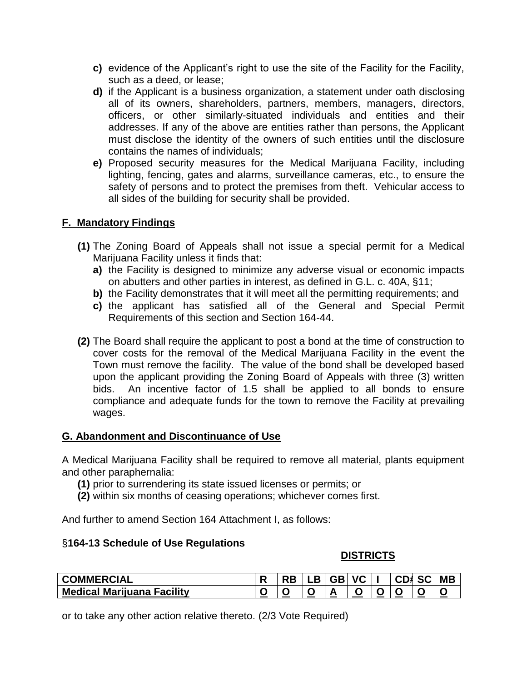- **c)** evidence of the Applicant's right to use the site of the Facility for the Facility, such as a deed, or lease;
- **d)** if the Applicant is a business organization, a statement under oath disclosing all of its owners, shareholders, partners, members, managers, directors, officers, or other similarly-situated individuals and entities and their addresses. If any of the above are entities rather than persons, the Applicant must disclose the identity of the owners of such entities until the disclosure contains the names of individuals;
- **e)** Proposed security measures for the Medical Marijuana Facility, including lighting, fencing, gates and alarms, surveillance cameras, etc., to ensure the safety of persons and to protect the premises from theft. Vehicular access to all sides of the building for security shall be provided.

### **F. Mandatory Findings**

- **(1)** The Zoning Board of Appeals shall not issue a special permit for a Medical Marijuana Facility unless it finds that:
	- **a)** the Facility is designed to minimize any adverse visual or economic impacts on abutters and other parties in interest, as defined in G.L. c. 40A, §11;
	- **b)** the Facility demonstrates that it will meet all the permitting requirements; and
	- **c)** the applicant has satisfied all of the General and Special Permit Requirements of this section and Section 164-44.
- **(2)** The Board shall require the applicant to post a bond at the time of construction to cover costs for the removal of the Medical Marijuana Facility in the event the Town must remove the facility. The value of the bond shall be developed based upon the applicant providing the Zoning Board of Appeals with three (3) written bids. An incentive factor of 1.5 shall be applied to all bonds to ensure compliance and adequate funds for the town to remove the Facility at prevailing wages.

#### **G. Abandonment and Discontinuance of Use**

A Medical Marijuana Facility shall be required to remove all material, plants equipment and other paraphernalia:

- **(1)** prior to surrendering its state issued licenses or permits; or
- **(2)** within six months of ceasing operations; whichever comes first.

And further to amend Section 164 Attachment I, as follows:

#### §**164-13 Schedule of Use Regulations**

#### **DISTRICTS**

| <b>OMMERCIAL</b>                     |  | D.<br>- 17 | GBI | <b>VC</b> |   | )1<br>۰. | SC | <b>MB</b> |
|--------------------------------------|--|------------|-----|-----------|---|----------|----|-----------|
| <b>Medical Marijuana</b><br>Facility |  |            |     | ີ         | ∼ |          |    |           |

or to take any other action relative thereto. (2/3 Vote Required)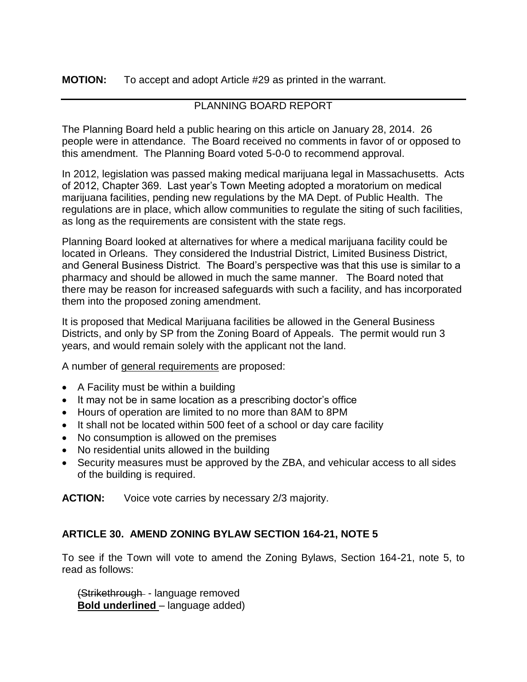### **MOTION:** To accept and adopt Article #29 as printed in the warrant.

# PLANNING BOARD REPORT

The Planning Board held a public hearing on this article on January 28, 2014. 26 people were in attendance. The Board received no comments in favor of or opposed to this amendment. The Planning Board voted 5-0-0 to recommend approval.

In 2012, legislation was passed making medical marijuana legal in Massachusetts. Acts of 2012, Chapter 369. Last year's Town Meeting adopted a moratorium on medical marijuana facilities, pending new regulations by the MA Dept. of Public Health. The regulations are in place, which allow communities to regulate the siting of such facilities, as long as the requirements are consistent with the state regs.

Planning Board looked at alternatives for where a medical marijuana facility could be located in Orleans. They considered the Industrial District, Limited Business District, and General Business District. The Board's perspective was that this use is similar to a pharmacy and should be allowed in much the same manner. The Board noted that there may be reason for increased safeguards with such a facility, and has incorporated them into the proposed zoning amendment.

It is proposed that Medical Marijuana facilities be allowed in the General Business Districts, and only by SP from the Zoning Board of Appeals. The permit would run 3 years, and would remain solely with the applicant not the land.

A number of general requirements are proposed:

- A Facility must be within a building
- It may not be in same location as a prescribing doctor's office
- Hours of operation are limited to no more than 8AM to 8PM
- It shall not be located within 500 feet of a school or day care facility
- No consumption is allowed on the premises
- No residential units allowed in the building
- Security measures must be approved by the ZBA, and vehicular access to all sides of the building is required.

**ACTION:** Voice vote carries by necessary 2/3 majority.

# **ARTICLE 30. AMEND ZONING BYLAW SECTION 164-21, NOTE 5**

To see if the Town will vote to amend the Zoning Bylaws, Section 164-21, note 5, to read as follows:

(Strikethrough - language removed **Bold underlined** – language added)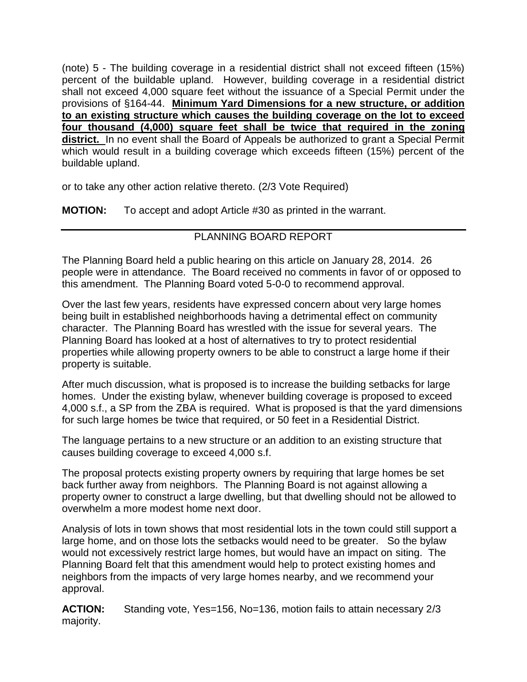(note) 5 - The building coverage in a residential district shall not exceed fifteen (15%) percent of the buildable upland. However, building coverage in a residential district shall not exceed 4,000 square feet without the issuance of a Special Permit under the provisions of §164-44. **Minimum Yard Dimensions for a new structure, or addition to an existing structure which causes the building coverage on the lot to exceed four thousand (4,000) square feet shall be twice that required in the zoning district.** In no event shall the Board of Appeals be authorized to grant a Special Permit which would result in a building coverage which exceeds fifteen (15%) percent of the buildable upland.

or to take any other action relative thereto. (2/3 Vote Required)

**MOTION:** To accept and adopt Article #30 as printed in the warrant.

# PLANNING BOARD REPORT

The Planning Board held a public hearing on this article on January 28, 2014. 26 people were in attendance. The Board received no comments in favor of or opposed to this amendment. The Planning Board voted 5-0-0 to recommend approval.

Over the last few years, residents have expressed concern about very large homes being built in established neighborhoods having a detrimental effect on community character. The Planning Board has wrestled with the issue for several years. The Planning Board has looked at a host of alternatives to try to protect residential properties while allowing property owners to be able to construct a large home if their property is suitable.

After much discussion, what is proposed is to increase the building setbacks for large homes. Under the existing bylaw, whenever building coverage is proposed to exceed 4,000 s.f., a SP from the ZBA is required. What is proposed is that the yard dimensions for such large homes be twice that required, or 50 feet in a Residential District.

The language pertains to a new structure or an addition to an existing structure that causes building coverage to exceed 4,000 s.f.

The proposal protects existing property owners by requiring that large homes be set back further away from neighbors. The Planning Board is not against allowing a property owner to construct a large dwelling, but that dwelling should not be allowed to overwhelm a more modest home next door.

Analysis of lots in town shows that most residential lots in the town could still support a large home, and on those lots the setbacks would need to be greater. So the bylaw would not excessively restrict large homes, but would have an impact on siting. The Planning Board felt that this amendment would help to protect existing homes and neighbors from the impacts of very large homes nearby, and we recommend your approval.

**ACTION:** Standing vote, Yes=156, No=136, motion fails to attain necessary 2/3 majority.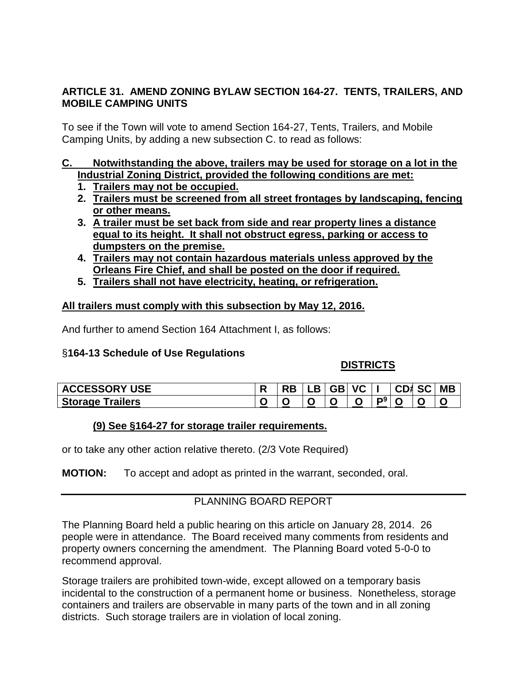### **ARTICLE 31. AMEND ZONING BYLAW SECTION 164-27. TENTS, TRAILERS, AND MOBILE CAMPING UNITS**

To see if the Town will vote to amend Section 164-27, Tents, Trailers, and Mobile Camping Units, by adding a new subsection C. to read as follows:

#### **C. Notwithstanding the above, trailers may be used for storage on a lot in the Industrial Zoning District, provided the following conditions are met:**

- **1. Trailers may not be occupied.**
- **2. Trailers must be screened from all street frontages by landscaping, fencing or other means.**
- **3. A trailer must be set back from side and rear property lines a distance equal to its height. It shall not obstruct egress, parking or access to dumpsters on the premise.**
- **4. Trailers may not contain hazardous materials unless approved by the Orleans Fire Chief, and shall be posted on the door if required.**
- **5. Trailers shall not have electricity, heating, or refrigeration.**

#### **All trailers must comply with this subsection by May 12, 2016.**

And further to amend Section 164 Attachment I, as follows:

# §**164-13 Schedule of Use Regulations**

# **DISTRICTS**

| <b>ACCESSORY USE</b>              |                          | . .<br>Ð | <b>GB</b> | <b>VC</b> |    | CD1 | <b>SC</b> | <b>MB</b>                |
|-----------------------------------|--------------------------|----------|-----------|-----------|----|-----|-----------|--------------------------|
| <b>Trailers</b><br><b>Storage</b> | $\overline{\phantom{a}}$ |          | ∼         | ີ         | m9 | ∼   |           | $\overline{\phantom{a}}$ |

# **(9) See §164-27 for storage trailer requirements.**

or to take any other action relative thereto. (2/3 Vote Required)

**MOTION:** To accept and adopt as printed in the warrant, seconded, oral.

# PLANNING BOARD REPORT

The Planning Board held a public hearing on this article on January 28, 2014. 26 people were in attendance. The Board received many comments from residents and property owners concerning the amendment. The Planning Board voted 5-0-0 to recommend approval.

Storage trailers are prohibited town-wide, except allowed on a temporary basis incidental to the construction of a permanent home or business. Nonetheless, storage containers and trailers are observable in many parts of the town and in all zoning districts. Such storage trailers are in violation of local zoning.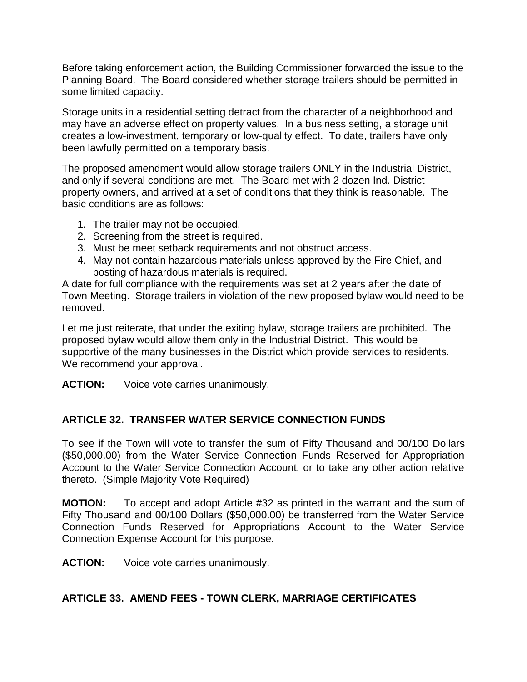Before taking enforcement action, the Building Commissioner forwarded the issue to the Planning Board. The Board considered whether storage trailers should be permitted in some limited capacity.

Storage units in a residential setting detract from the character of a neighborhood and may have an adverse effect on property values. In a business setting, a storage unit creates a low-investment, temporary or low-quality effect. To date, trailers have only been lawfully permitted on a temporary basis.

The proposed amendment would allow storage trailers ONLY in the Industrial District, and only if several conditions are met. The Board met with 2 dozen Ind. District property owners, and arrived at a set of conditions that they think is reasonable. The basic conditions are as follows:

- 1. The trailer may not be occupied.
- 2. Screening from the street is required.
- 3. Must be meet setback requirements and not obstruct access.
- 4. May not contain hazardous materials unless approved by the Fire Chief, and posting of hazardous materials is required.

A date for full compliance with the requirements was set at 2 years after the date of Town Meeting. Storage trailers in violation of the new proposed bylaw would need to be removed.

Let me just reiterate, that under the exiting bylaw, storage trailers are prohibited. The proposed bylaw would allow them only in the Industrial District. This would be supportive of the many businesses in the District which provide services to residents. We recommend your approval.

**ACTION:** Voice vote carries unanimously.

# **ARTICLE 32. TRANSFER WATER SERVICE CONNECTION FUNDS**

To see if the Town will vote to transfer the sum of Fifty Thousand and 00/100 Dollars (\$50,000.00) from the Water Service Connection Funds Reserved for Appropriation Account to the Water Service Connection Account, or to take any other action relative thereto. (Simple Majority Vote Required)

**MOTION:** To accept and adopt Article #32 as printed in the warrant and the sum of Fifty Thousand and 00/100 Dollars (\$50,000.00) be transferred from the Water Service Connection Funds Reserved for Appropriations Account to the Water Service Connection Expense Account for this purpose.

**ACTION:** Voice vote carries unanimously.

# **ARTICLE 33. AMEND FEES - TOWN CLERK, MARRIAGE CERTIFICATES**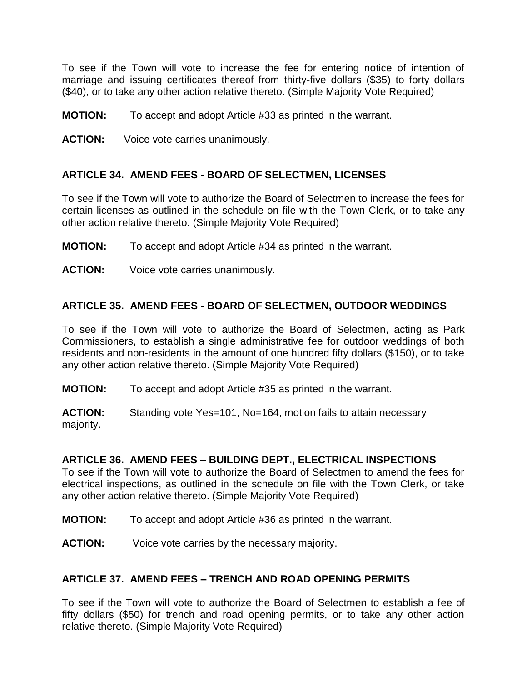To see if the Town will vote to increase the fee for entering notice of intention of marriage and issuing certificates thereof from thirty-five dollars (\$35) to forty dollars (\$40), or to take any other action relative thereto. (Simple Majority Vote Required)

- **MOTION:** To accept and adopt Article #33 as printed in the warrant.
- **ACTION:** Voice vote carries unanimously.

#### **ARTICLE 34. AMEND FEES - BOARD OF SELECTMEN, LICENSES**

To see if the Town will vote to authorize the Board of Selectmen to increase the fees for certain licenses as outlined in the schedule on file with the Town Clerk, or to take any other action relative thereto. (Simple Majority Vote Required)

- **MOTION:** To accept and adopt Article #34 as printed in the warrant.
- **ACTION:** Voice vote carries unanimously.

### **ARTICLE 35. AMEND FEES - BOARD OF SELECTMEN, OUTDOOR WEDDINGS**

To see if the Town will vote to authorize the Board of Selectmen, acting as Park Commissioners, to establish a single administrative fee for outdoor weddings of both residents and non-residents in the amount of one hundred fifty dollars (\$150), or to take any other action relative thereto. (Simple Majority Vote Required)

**MOTION:** To accept and adopt Article #35 as printed in the warrant.

**ACTION:** Standing vote Yes=101, No=164, motion fails to attain necessary majority.

#### **ARTICLE 36. AMEND FEES – BUILDING DEPT., ELECTRICAL INSPECTIONS**

To see if the Town will vote to authorize the Board of Selectmen to amend the fees for electrical inspections, as outlined in the schedule on file with the Town Clerk, or take any other action relative thereto. (Simple Majority Vote Required)

- **MOTION:** To accept and adopt Article #36 as printed in the warrant.
- **ACTION:** Voice vote carries by the necessary majority.

#### **ARTICLE 37. AMEND FEES – TRENCH AND ROAD OPENING PERMITS**

To see if the Town will vote to authorize the Board of Selectmen to establish a fee of fifty dollars (\$50) for trench and road opening permits, or to take any other action relative thereto. (Simple Majority Vote Required)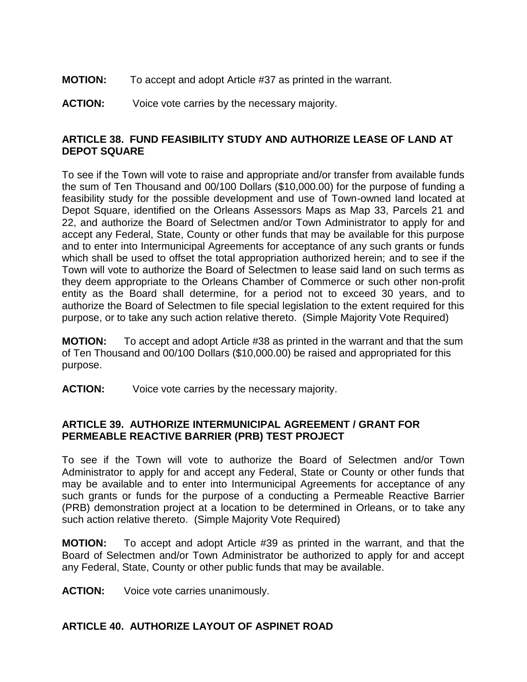- **MOTION:** To accept and adopt Article #37 as printed in the warrant.
- **ACTION:** Voice vote carries by the necessary majority.

# **ARTICLE 38. FUND FEASIBILITY STUDY AND AUTHORIZE LEASE OF LAND AT DEPOT SQUARE**

To see if the Town will vote to raise and appropriate and/or transfer from available funds the sum of Ten Thousand and 00/100 Dollars (\$10,000.00) for the purpose of funding a feasibility study for the possible development and use of Town-owned land located at Depot Square, identified on the Orleans Assessors Maps as Map 33, Parcels 21 and 22, and authorize the Board of Selectmen and/or Town Administrator to apply for and accept any Federal, State, County or other funds that may be available for this purpose and to enter into Intermunicipal Agreements for acceptance of any such grants or funds which shall be used to offset the total appropriation authorized herein; and to see if the Town will vote to authorize the Board of Selectmen to lease said land on such terms as they deem appropriate to the Orleans Chamber of Commerce or such other non-profit entity as the Board shall determine, for a period not to exceed 30 years, and to authorize the Board of Selectmen to file special legislation to the extent required for this purpose, or to take any such action relative thereto. (Simple Majority Vote Required)

**MOTION:** To accept and adopt Article #38 as printed in the warrant and that the sum of Ten Thousand and 00/100 Dollars (\$10,000.00) be raised and appropriated for this purpose.

**ACTION:** Voice vote carries by the necessary majority.

### **ARTICLE 39. AUTHORIZE INTERMUNICIPAL AGREEMENT / GRANT FOR PERMEABLE REACTIVE BARRIER (PRB) TEST PROJECT**

To see if the Town will vote to authorize the Board of Selectmen and/or Town Administrator to apply for and accept any Federal, State or County or other funds that may be available and to enter into Intermunicipal Agreements for acceptance of any such grants or funds for the purpose of a conducting a Permeable Reactive Barrier (PRB) demonstration project at a location to be determined in Orleans, or to take any such action relative thereto. (Simple Majority Vote Required)

**MOTION:** To accept and adopt Article #39 as printed in the warrant, and that the Board of Selectmen and/or Town Administrator be authorized to apply for and accept any Federal, State, County or other public funds that may be available.

**ACTION:** Voice vote carries unanimously.

# **ARTICLE 40. AUTHORIZE LAYOUT OF ASPINET ROAD**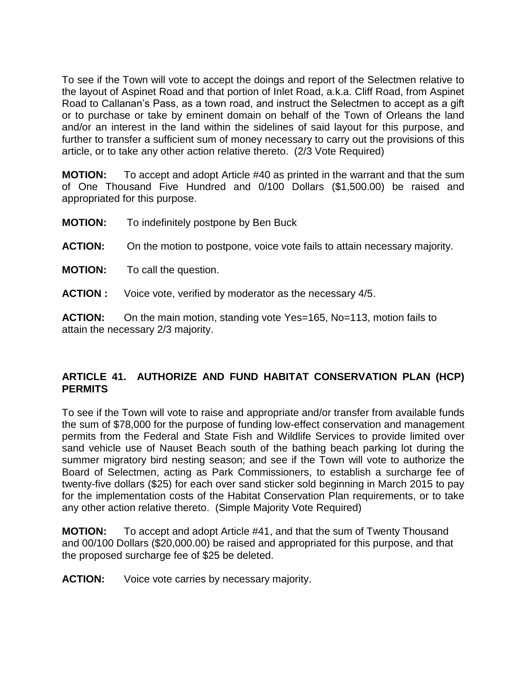To see if the Town will vote to accept the doings and report of the Selectmen relative to the layout of Aspinet Road and that portion of Inlet Road, a.k.a. Cliff Road, from Aspinet Road to Callanan's Pass, as a town road, and instruct the Selectmen to accept as a gift or to purchase or take by eminent domain on behalf of the Town of Orleans the land and/or an interest in the land within the sidelines of said layout for this purpose, and further to transfer a sufficient sum of money necessary to carry out the provisions of this article, or to take any other action relative thereto. (2/3 Vote Required)

**MOTION:** To accept and adopt Article #40 as printed in the warrant and that the sum of One Thousand Five Hundred and 0/100 Dollars (\$1,500.00) be raised and appropriated for this purpose.

- **MOTION:** To indefinitely postpone by Ben Buck
- **ACTION:** On the motion to postpone, voice vote fails to attain necessary majority.
- **MOTION:** To call the question.
- **ACTION :** Voice vote, verified by moderator as the necessary 4/5.

**ACTION:** On the main motion, standing vote Yes=165, No=113, motion fails to attain the necessary 2/3 majority.

### **ARTICLE 41. AUTHORIZE AND FUND HABITAT CONSERVATION PLAN (HCP) PERMITS**

To see if the Town will vote to raise and appropriate and/or transfer from available funds the sum of \$78,000 for the purpose of funding low-effect conservation and management permits from the Federal and State Fish and Wildlife Services to provide limited over sand vehicle use of Nauset Beach south of the bathing beach parking lot during the summer migratory bird nesting season; and see if the Town will vote to authorize the Board of Selectmen, acting as Park Commissioners, to establish a surcharge fee of twenty-five dollars (\$25) for each over sand sticker sold beginning in March 2015 to pay for the implementation costs of the Habitat Conservation Plan requirements, or to take any other action relative thereto. (Simple Majority Vote Required)

**MOTION:** To accept and adopt Article #41, and that the sum of Twenty Thousand and 00/100 Dollars (\$20,000.00) be raised and appropriated for this purpose, and that the proposed surcharge fee of \$25 be deleted.

**ACTION:** Voice vote carries by necessary majority.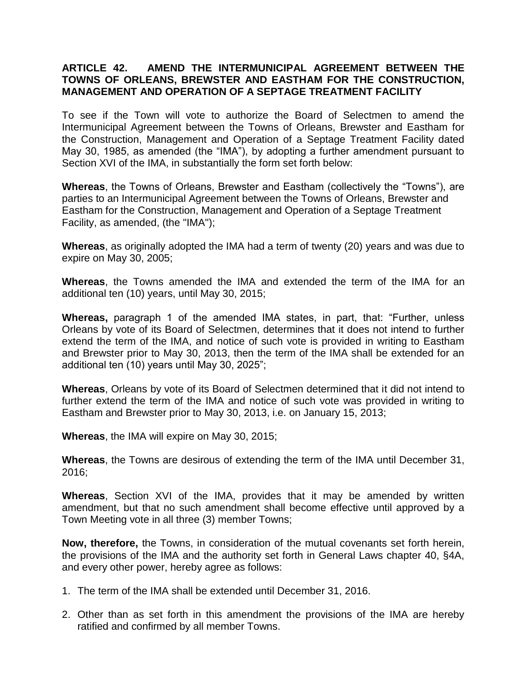### **ARTICLE 42. AMEND THE INTERMUNICIPAL AGREEMENT BETWEEN THE TOWNS OF ORLEANS, BREWSTER AND EASTHAM FOR THE CONSTRUCTION, MANAGEMENT AND OPERATION OF A SEPTAGE TREATMENT FACILITY**

To see if the Town will vote to authorize the Board of Selectmen to amend the Intermunicipal Agreement between the Towns of Orleans, Brewster and Eastham for the Construction, Management and Operation of a Septage Treatment Facility dated May 30, 1985, as amended (the "IMA"), by adopting a further amendment pursuant to Section XVI of the IMA, in substantially the form set forth below:

**Whereas**, the Towns of Orleans, Brewster and Eastham (collectively the "Towns"), are parties to an Intermunicipal Agreement between the Towns of Orleans, Brewster and Eastham for the Construction, Management and Operation of a Septage Treatment Facility, as amended, (the "IMA");

**Whereas**, as originally adopted the IMA had a term of twenty (20) years and was due to expire on May 30, 2005;

**Whereas**, the Towns amended the IMA and extended the term of the IMA for an additional ten (10) years, until May 30, 2015;

**Whereas,** paragraph 1 of the amended IMA states, in part, that: "Further, unless Orleans by vote of its Board of Selectmen, determines that it does not intend to further extend the term of the IMA, and notice of such vote is provided in writing to Eastham and Brewster prior to May 30, 2013, then the term of the IMA shall be extended for an additional ten (10) years until May 30, 2025";

**Whereas**, Orleans by vote of its Board of Selectmen determined that it did not intend to further extend the term of the IMA and notice of such vote was provided in writing to Eastham and Brewster prior to May 30, 2013, i.e. on January 15, 2013;

**Whereas**, the IMA will expire on May 30, 2015;

**Whereas**, the Towns are desirous of extending the term of the IMA until December 31, 2016;

**Whereas**, Section XVI of the IMA, provides that it may be amended by written amendment, but that no such amendment shall become effective until approved by a Town Meeting vote in all three (3) member Towns;

**Now, therefore,** the Towns, in consideration of the mutual covenants set forth herein, the provisions of the IMA and the authority set forth in General Laws chapter 40, §4A, and every other power, hereby agree as follows:

- 1. The term of the IMA shall be extended until December 31, 2016.
- 2. Other than as set forth in this amendment the provisions of the IMA are hereby ratified and confirmed by all member Towns.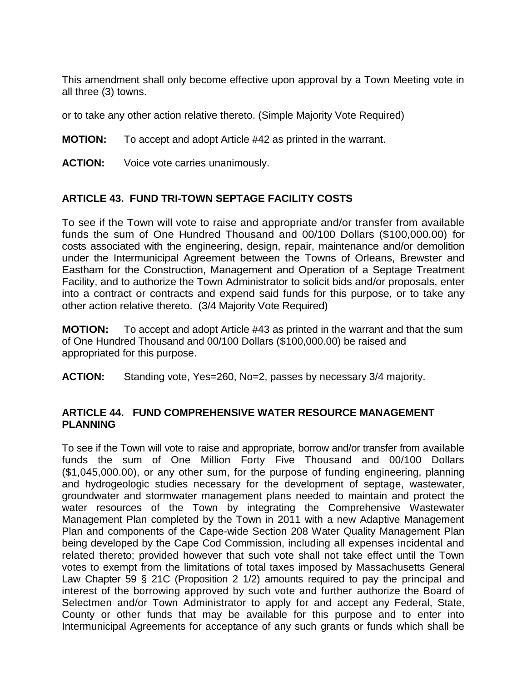This amendment shall only become effective upon approval by a Town Meeting vote in all three (3) towns.

or to take any other action relative thereto. (Simple Majority Vote Required)

### **MOTION:** To accept and adopt Article #42 as printed in the warrant.

**ACTION:** Voice vote carries unanimously.

# **ARTICLE 43. FUND TRI-TOWN SEPTAGE FACILITY COSTS**

To see if the Town will vote to raise and appropriate and/or transfer from available funds the sum of One Hundred Thousand and 00/100 Dollars (\$100,000.00) for costs associated with the engineering, design, repair, maintenance and/or demolition under the Intermunicipal Agreement between the Towns of Orleans, Brewster and Eastham for the Construction, Management and Operation of a Septage Treatment Facility, and to authorize the Town Administrator to solicit bids and/or proposals, enter into a contract or contracts and expend said funds for this purpose, or to take any other action relative thereto. (3/4 Majority Vote Required)

**MOTION:** To accept and adopt Article #43 as printed in the warrant and that the sum of One Hundred Thousand and 00/100 Dollars (\$100,000.00) be raised and appropriated for this purpose.

**ACTION:** Standing vote, Yes=260, No=2, passes by necessary 3/4 majority.

### **ARTICLE 44. FUND COMPREHENSIVE WATER RESOURCE MANAGEMENT PLANNING**

To see if the Town will vote to raise and appropriate, borrow and/or transfer from available funds the sum of One Million Forty Five Thousand and 00/100 Dollars (\$1,045,000.00), or any other sum, for the purpose of funding engineering, planning and hydrogeologic studies necessary for the development of septage, wastewater, groundwater and stormwater management plans needed to maintain and protect the water resources of the Town by integrating the Comprehensive Wastewater Management Plan completed by the Town in 2011 with a new Adaptive Management Plan and components of the Cape-wide Section 208 Water Quality Management Plan being developed by the Cape Cod Commission, including all expenses incidental and related thereto; provided however that such vote shall not take effect until the Town votes to exempt from the limitations of total taxes imposed by Massachusetts General Law Chapter 59 § 21C (Proposition 2 1/2) amounts required to pay the principal and interest of the borrowing approved by such vote and further authorize the Board of Selectmen and/or Town Administrator to apply for and accept any Federal, State, County or other funds that may be available for this purpose and to enter into Intermunicipal Agreements for acceptance of any such grants or funds which shall be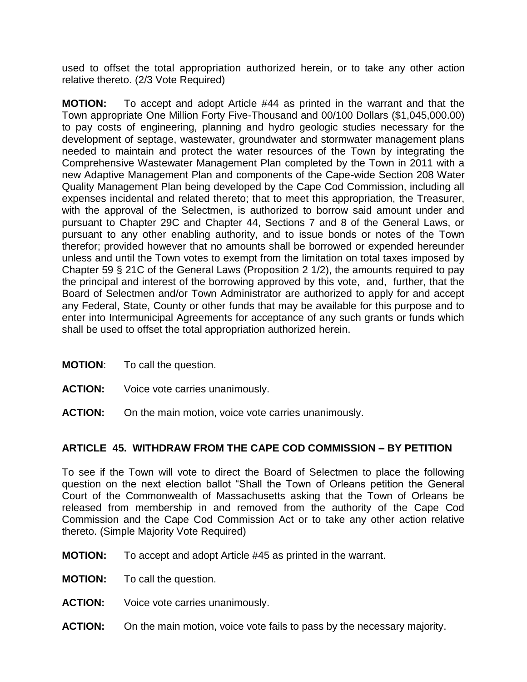used to offset the total appropriation authorized herein, or to take any other action relative thereto. (2/3 Vote Required)

**MOTION:** To accept and adopt Article #44 as printed in the warrant and that the Town appropriate One Million Forty Five-Thousand and 00/100 Dollars (\$1,045,000.00) to pay costs of engineering, planning and hydro geologic studies necessary for the development of septage, wastewater, groundwater and stormwater management plans needed to maintain and protect the water resources of the Town by integrating the Comprehensive Wastewater Management Plan completed by the Town in 2011 with a new Adaptive Management Plan and components of the Cape-wide Section 208 Water Quality Management Plan being developed by the Cape Cod Commission, including all expenses incidental and related thereto; that to meet this appropriation, the Treasurer, with the approval of the Selectmen, is authorized to borrow said amount under and pursuant to Chapter 29C and Chapter 44, Sections 7 and 8 of the General Laws, or pursuant to any other enabling authority, and to issue bonds or notes of the Town therefor; provided however that no amounts shall be borrowed or expended hereunder unless and until the Town votes to exempt from the limitation on total taxes imposed by Chapter 59 § 21C of the General Laws (Proposition 2 1/2), the amounts required to pay the principal and interest of the borrowing approved by this vote, and, further, that the Board of Selectmen and/or Town Administrator are authorized to apply for and accept any Federal, State, County or other funds that may be available for this purpose and to enter into Intermunicipal Agreements for acceptance of any such grants or funds which shall be used to offset the total appropriation authorized herein.

- **MOTION**: To call the question.
- **ACTION:** Voice vote carries unanimously.
- **ACTION:** On the main motion, voice vote carries unanimously.

#### **ARTICLE 45. WITHDRAW FROM THE CAPE COD COMMISSION – BY PETITION**

To see if the Town will vote to direct the Board of Selectmen to place the following question on the next election ballot "Shall the Town of Orleans petition the General Court of the Commonwealth of Massachusetts asking that the Town of Orleans be released from membership in and removed from the authority of the Cape Cod Commission and the Cape Cod Commission Act or to take any other action relative thereto. (Simple Majority Vote Required)

- **MOTION:** To accept and adopt Article #45 as printed in the warrant.
- **MOTION:** To call the question.
- **ACTION:** Voice vote carries unanimously.
- **ACTION:** On the main motion, voice vote fails to pass by the necessary majority.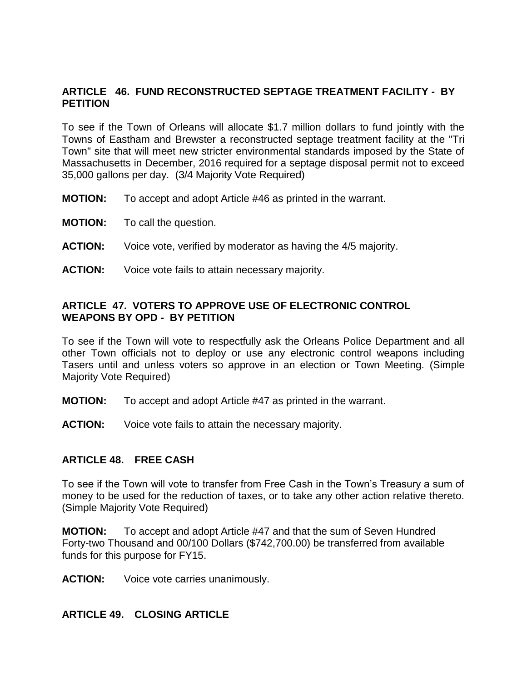### **ARTICLE 46. FUND RECONSTRUCTED SEPTAGE TREATMENT FACILITY - BY PETITION**

To see if the Town of Orleans will allocate \$1.7 million dollars to fund jointly with the Towns of Eastham and Brewster a reconstructed septage treatment facility at the "Tri Town" site that will meet new stricter environmental standards imposed by the State of Massachusetts in December, 2016 required for a septage disposal permit not to exceed 35,000 gallons per day. (3/4 Majority Vote Required)

- **MOTION:** To accept and adopt Article #46 as printed in the warrant.
- **MOTION:** To call the question.
- **ACTION:** Voice vote, verified by moderator as having the 4/5 majority.
- **ACTION:** Voice vote fails to attain necessary majority.

### **ARTICLE 47. VOTERS TO APPROVE USE OF ELECTRONIC CONTROL WEAPONS BY OPD - BY PETITION**

To see if the Town will vote to respectfully ask the Orleans Police Department and all other Town officials not to deploy or use any electronic control weapons including Tasers until and unless voters so approve in an election or Town Meeting. (Simple Majority Vote Required)

- **MOTION:** To accept and adopt Article #47 as printed in the warrant.
- **ACTION:** Voice vote fails to attain the necessary majority.

#### **ARTICLE 48. FREE CASH**

To see if the Town will vote to transfer from Free Cash in the Town's Treasury a sum of money to be used for the reduction of taxes, or to take any other action relative thereto. (Simple Majority Vote Required)

**MOTION:** To accept and adopt Article #47 and that the sum of Seven Hundred Forty-two Thousand and 00/100 Dollars (\$742,700.00) be transferred from available funds for this purpose for FY15.

**ACTION:** Voice vote carries unanimously.

#### **ARTICLE 49. CLOSING ARTICLE**